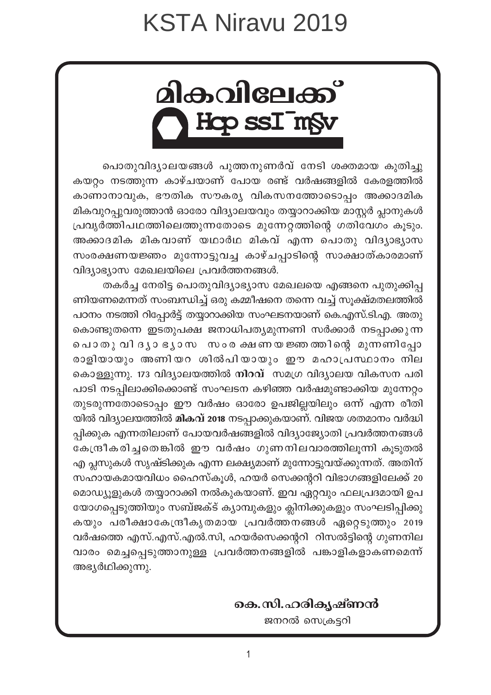<u> alകവിലേക്ക്</u> **Hcp ssI¯m§v**

പൊതുവിദ്യാലയങ്ങൾ പുത്തനുണർവ് നേടി ശക്തമായ കുതിച്ചു കയറ്റം നടത്തുന്ന കാഴ്ചയാണ് പോയ രണ്ട് വർഷങ്ങളിൽ കേരളത്തിൽ കാണാനാവുക, ഭൗതിക സൗകര്യ വികസനത്തോടൊപ്പം അക്കാദമിക മികവുറപ്പുവരുത്താൻ ഓരോ വിദ്യാലയവും തയ്യാറാക്കിയ മാസ്റ്റർ പ്ലാനുകൾ  ${1}$ പവൃർത്തിപഥത്തിലെത്തുന്നതോടെ മുന്നേറ്റത്തിന്റെ ഗതിവേഗം കൂടും. അക്കാദമിക മികവാണ് യഥാർഥ മികവ് എന്ന പൊതു വിദൃാഭൃാസ സംരക്ഷണയജ്ഞം മുന്നോട്ടുവച്ച കാഴ്ചപ്പാടിന്റെ സാക്ഷാത്കാരമാണ്  $\alpha$ ിദ്യാഭ്യാസ മേഖലയിലെ പ്രവർത്തനങ്ങൾ.

തകർച്ച നേരിട്ട പൊതുവിദ്യാഭ്യാസ മേഖലയെ എങ്ങനെ പുതുക്കിപ്പ ണിയണമെന്നത് സംബന്ധിച്ച് ഒരു കമ്മീഷനെ തന്നെ വച്ച് സൂക്ഷ്മതലത്തിൽ പഠനം നടത്തി റിപ്പോർട്ട് തയ്യാറാക്കിയ സംഘടനയാണ് കെ.എസ്.ടി.എ. അതു കൊണ്ടുതന്നെ ഇടതുപക്ഷ ജനാധിപതൃമുന്നണി സർക്കാർ നടപ്പാക്കുന്ന പൊതുവിദൃാ ഭൃാസ സംരക്ഷണയ ജ്ഞത്തിന്റെ മുന്നണിപ്പോ രാളിയായും അണിയറ ശിൽപിയായും ഈ മഹാപ്രസ്ഥാനം നില കൊള്ളുന്നു. 173 വിദ്യാലയത്തിൽ **നിറവ്** സമഗ്ര വിദ്യാലയ വികസന പരി പാടി നടപ്പിലാക്കിക്കൊണ്ട് സംഘടന കഴിഞ്ഞ വർഷമുണ്ടാക്കിയ മുന്നേറ്റം തുടരുന്നതോടൊപ്പം ഈ വർഷം ഓരോ ഉപജില്ലയിലും ഒന്ന് എന്ന രീതി യിൽ വിദ്യാലയത്തിൽ **മികവ് 2018** നടപ്പാക്കുകയാണ്. വിജയ ശതമാനം വർദ്ധി പ്പിക്കുക എന്നതിലാണ് പോയവർഷങ്ങളിൽ വിദ്യാജ്യോതി പ്രവർത്തനങ്ങൾ കേന്ദ്രീകരിച്ചതെങ്കിൽ ഈ വർഷം ഗുണനിലവാരത്തിലൂന്നി കൂടുതൽ എ പ്ലസുകൾ സൃഷ്ടിക്കുക എന്ന ലക്ഷ്യമാണ് മുന്നോട്ടുവയ്ക്കുന്നത്. അതിന് സഹായകമായവിധം ഹൈസ്കൂൾ, ഹയർ സെക്കന്ററി വിഭാഗങ്ങളിലേക്ക് 20 മൊഡ്യൂളുകൾ തയ്യാറാക്കി നൽകുകയാണ്. ഇവ ഏറ്റവും ഫലപ്രദമായി ഉപ യോഗപ്പെടുത്തിയും സബ്ജക്ട് ക്യാമ്പുകളും ക്ലിനിക്കുകളും സംഘടിപ്പിക്കു കയും പരീക്ഷാകേന്ദ്രീകൃതമായ പ്രവർത്തനങ്ങൾ ഏറ്റെടുത്തും 2019 വർഷത്തെ എസ്.എസ്.എൽ.സി, ഹയർസെക്കന്ററി റിസൽട്ടിന്റെ ഗുണനില വാരം മെച്ചപ്പെടുത്താനുള്ള പ്രവർത്തനങ്ങളിൽ പങ്കാളികളാകണമെന്ന് അഭ്യർഥിക്കുന്നു.

#### **കെ.സി.ഹരികൃഷ്ണൻ**

ജനറൽ സെക്രട്ടറി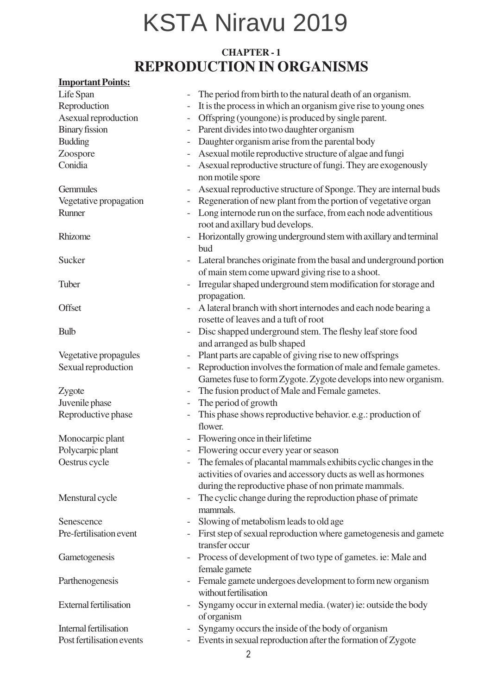#### **CHAPTER - 1 REPRODUCTION IN ORGANISMS**

#### **Important Points:**

| It is the process in which an organism give rise to young ones<br>Offspring (youngone) is produced by single parent.<br>Parent divides into two daughter organism<br>Daughter organism arise from the parental body<br>$\overline{\phantom{a}}$<br>Asexual motile reproductive structure of algae and fungi<br>Asexual reproductive structure of fungi. They are exogenously<br>non motile spore<br>As exual reproductive structure of Sponge. They are internal buds<br>Regeneration of new plant from the portion of vegetative organ<br>Long internode run on the surface, from each node adventitious<br>root and axillary bud develops.<br>Horizontally growing underground stem with axillary and terminal<br>bud<br>Lateral branches originate from the basal and underground portion<br>of main stem come upward giving rise to a shoot.<br>Irregular shaped underground stem modification for storage and<br>propagation.<br>A lateral branch with short internodes and each node bearing a<br>rosette of leaves and a tuft of root<br>Disc shapped underground stem. The fleshy leaf store food<br>and arranged as bulb shaped<br>Plant parts are capable of giving rise to new offsprings<br>Vegetative propagules<br>$\qquad \qquad -$<br>Reproduction involves the formation of male and female gametes.<br>Sexual reproduction<br>Gametes fuse to form Zygote. Zygote develops into new organism.<br>The fusion product of Male and Female gametes.<br>Zygote<br>$\overline{\phantom{0}}$<br>The period of growth<br>$\qquad \qquad -$<br>This phase shows reproductive behavior. e.g.: production of<br>flower.<br>Flowering once in their lifetime<br>Flowering occur every year or season<br>The females of placantal mammals exhibits cyclic changes in the<br>activities of ovaries and accessory ducts as well as hormones<br>during the reproductive phase of non primate mammals.<br>The cyclic change during the reproduction phase of primate<br>mammals.<br>Slowing of metabolism leads to old age<br>First step of sexual reproduction where gametogenesis and gamete<br>transfer occur<br>Process of development of two type of gametes. ie: Male and<br>$\qquad \qquad -$<br>female gamete<br>Female gamete undergoes development to form new organism<br>without fertilisation<br>Syngamy occur in external media. (water) ie: outside the body<br>of organism<br>Syngamy occurs the inside of the body of organism | Life Span                     | The period from birth to the natural death of an organism.  |
|--------------------------------------------------------------------------------------------------------------------------------------------------------------------------------------------------------------------------------------------------------------------------------------------------------------------------------------------------------------------------------------------------------------------------------------------------------------------------------------------------------------------------------------------------------------------------------------------------------------------------------------------------------------------------------------------------------------------------------------------------------------------------------------------------------------------------------------------------------------------------------------------------------------------------------------------------------------------------------------------------------------------------------------------------------------------------------------------------------------------------------------------------------------------------------------------------------------------------------------------------------------------------------------------------------------------------------------------------------------------------------------------------------------------------------------------------------------------------------------------------------------------------------------------------------------------------------------------------------------------------------------------------------------------------------------------------------------------------------------------------------------------------------------------------------------------------------------------------------------------------------------------------------------------------------------------------------------------------------------------------------------------------------------------------------------------------------------------------------------------------------------------------------------------------------------------------------------------------------------------------------------------------------------------------------------------------------------------------------------------------------------------------------------------------------------------------|-------------------------------|-------------------------------------------------------------|
|                                                                                                                                                                                                                                                                                                                                                                                                                                                                                                                                                                                                                                                                                                                                                                                                                                                                                                                                                                                                                                                                                                                                                                                                                                                                                                                                                                                                                                                                                                                                                                                                                                                                                                                                                                                                                                                                                                                                                                                                                                                                                                                                                                                                                                                                                                                                                                                                                                                  | Reproduction                  |                                                             |
|                                                                                                                                                                                                                                                                                                                                                                                                                                                                                                                                                                                                                                                                                                                                                                                                                                                                                                                                                                                                                                                                                                                                                                                                                                                                                                                                                                                                                                                                                                                                                                                                                                                                                                                                                                                                                                                                                                                                                                                                                                                                                                                                                                                                                                                                                                                                                                                                                                                  | Asexual reproduction          |                                                             |
|                                                                                                                                                                                                                                                                                                                                                                                                                                                                                                                                                                                                                                                                                                                                                                                                                                                                                                                                                                                                                                                                                                                                                                                                                                                                                                                                                                                                                                                                                                                                                                                                                                                                                                                                                                                                                                                                                                                                                                                                                                                                                                                                                                                                                                                                                                                                                                                                                                                  | <b>Binary fission</b>         |                                                             |
|                                                                                                                                                                                                                                                                                                                                                                                                                                                                                                                                                                                                                                                                                                                                                                                                                                                                                                                                                                                                                                                                                                                                                                                                                                                                                                                                                                                                                                                                                                                                                                                                                                                                                                                                                                                                                                                                                                                                                                                                                                                                                                                                                                                                                                                                                                                                                                                                                                                  | <b>Budding</b>                |                                                             |
|                                                                                                                                                                                                                                                                                                                                                                                                                                                                                                                                                                                                                                                                                                                                                                                                                                                                                                                                                                                                                                                                                                                                                                                                                                                                                                                                                                                                                                                                                                                                                                                                                                                                                                                                                                                                                                                                                                                                                                                                                                                                                                                                                                                                                                                                                                                                                                                                                                                  | Zoospore                      |                                                             |
|                                                                                                                                                                                                                                                                                                                                                                                                                                                                                                                                                                                                                                                                                                                                                                                                                                                                                                                                                                                                                                                                                                                                                                                                                                                                                                                                                                                                                                                                                                                                                                                                                                                                                                                                                                                                                                                                                                                                                                                                                                                                                                                                                                                                                                                                                                                                                                                                                                                  | Conidia                       |                                                             |
|                                                                                                                                                                                                                                                                                                                                                                                                                                                                                                                                                                                                                                                                                                                                                                                                                                                                                                                                                                                                                                                                                                                                                                                                                                                                                                                                                                                                                                                                                                                                                                                                                                                                                                                                                                                                                                                                                                                                                                                                                                                                                                                                                                                                                                                                                                                                                                                                                                                  | Gemmules                      |                                                             |
|                                                                                                                                                                                                                                                                                                                                                                                                                                                                                                                                                                                                                                                                                                                                                                                                                                                                                                                                                                                                                                                                                                                                                                                                                                                                                                                                                                                                                                                                                                                                                                                                                                                                                                                                                                                                                                                                                                                                                                                                                                                                                                                                                                                                                                                                                                                                                                                                                                                  | Vegetative propagation        |                                                             |
|                                                                                                                                                                                                                                                                                                                                                                                                                                                                                                                                                                                                                                                                                                                                                                                                                                                                                                                                                                                                                                                                                                                                                                                                                                                                                                                                                                                                                                                                                                                                                                                                                                                                                                                                                                                                                                                                                                                                                                                                                                                                                                                                                                                                                                                                                                                                                                                                                                                  | Runner                        |                                                             |
|                                                                                                                                                                                                                                                                                                                                                                                                                                                                                                                                                                                                                                                                                                                                                                                                                                                                                                                                                                                                                                                                                                                                                                                                                                                                                                                                                                                                                                                                                                                                                                                                                                                                                                                                                                                                                                                                                                                                                                                                                                                                                                                                                                                                                                                                                                                                                                                                                                                  | Rhizome                       |                                                             |
|                                                                                                                                                                                                                                                                                                                                                                                                                                                                                                                                                                                                                                                                                                                                                                                                                                                                                                                                                                                                                                                                                                                                                                                                                                                                                                                                                                                                                                                                                                                                                                                                                                                                                                                                                                                                                                                                                                                                                                                                                                                                                                                                                                                                                                                                                                                                                                                                                                                  | Sucker                        |                                                             |
|                                                                                                                                                                                                                                                                                                                                                                                                                                                                                                                                                                                                                                                                                                                                                                                                                                                                                                                                                                                                                                                                                                                                                                                                                                                                                                                                                                                                                                                                                                                                                                                                                                                                                                                                                                                                                                                                                                                                                                                                                                                                                                                                                                                                                                                                                                                                                                                                                                                  | Tuber                         |                                                             |
|                                                                                                                                                                                                                                                                                                                                                                                                                                                                                                                                                                                                                                                                                                                                                                                                                                                                                                                                                                                                                                                                                                                                                                                                                                                                                                                                                                                                                                                                                                                                                                                                                                                                                                                                                                                                                                                                                                                                                                                                                                                                                                                                                                                                                                                                                                                                                                                                                                                  | Offset                        |                                                             |
|                                                                                                                                                                                                                                                                                                                                                                                                                                                                                                                                                                                                                                                                                                                                                                                                                                                                                                                                                                                                                                                                                                                                                                                                                                                                                                                                                                                                                                                                                                                                                                                                                                                                                                                                                                                                                                                                                                                                                                                                                                                                                                                                                                                                                                                                                                                                                                                                                                                  | <b>Bulb</b>                   |                                                             |
|                                                                                                                                                                                                                                                                                                                                                                                                                                                                                                                                                                                                                                                                                                                                                                                                                                                                                                                                                                                                                                                                                                                                                                                                                                                                                                                                                                                                                                                                                                                                                                                                                                                                                                                                                                                                                                                                                                                                                                                                                                                                                                                                                                                                                                                                                                                                                                                                                                                  |                               |                                                             |
|                                                                                                                                                                                                                                                                                                                                                                                                                                                                                                                                                                                                                                                                                                                                                                                                                                                                                                                                                                                                                                                                                                                                                                                                                                                                                                                                                                                                                                                                                                                                                                                                                                                                                                                                                                                                                                                                                                                                                                                                                                                                                                                                                                                                                                                                                                                                                                                                                                                  |                               |                                                             |
|                                                                                                                                                                                                                                                                                                                                                                                                                                                                                                                                                                                                                                                                                                                                                                                                                                                                                                                                                                                                                                                                                                                                                                                                                                                                                                                                                                                                                                                                                                                                                                                                                                                                                                                                                                                                                                                                                                                                                                                                                                                                                                                                                                                                                                                                                                                                                                                                                                                  |                               |                                                             |
|                                                                                                                                                                                                                                                                                                                                                                                                                                                                                                                                                                                                                                                                                                                                                                                                                                                                                                                                                                                                                                                                                                                                                                                                                                                                                                                                                                                                                                                                                                                                                                                                                                                                                                                                                                                                                                                                                                                                                                                                                                                                                                                                                                                                                                                                                                                                                                                                                                                  |                               |                                                             |
|                                                                                                                                                                                                                                                                                                                                                                                                                                                                                                                                                                                                                                                                                                                                                                                                                                                                                                                                                                                                                                                                                                                                                                                                                                                                                                                                                                                                                                                                                                                                                                                                                                                                                                                                                                                                                                                                                                                                                                                                                                                                                                                                                                                                                                                                                                                                                                                                                                                  | Juvenile phase                |                                                             |
|                                                                                                                                                                                                                                                                                                                                                                                                                                                                                                                                                                                                                                                                                                                                                                                                                                                                                                                                                                                                                                                                                                                                                                                                                                                                                                                                                                                                                                                                                                                                                                                                                                                                                                                                                                                                                                                                                                                                                                                                                                                                                                                                                                                                                                                                                                                                                                                                                                                  | Reproductive phase            |                                                             |
|                                                                                                                                                                                                                                                                                                                                                                                                                                                                                                                                                                                                                                                                                                                                                                                                                                                                                                                                                                                                                                                                                                                                                                                                                                                                                                                                                                                                                                                                                                                                                                                                                                                                                                                                                                                                                                                                                                                                                                                                                                                                                                                                                                                                                                                                                                                                                                                                                                                  | Monocarpic plant              |                                                             |
|                                                                                                                                                                                                                                                                                                                                                                                                                                                                                                                                                                                                                                                                                                                                                                                                                                                                                                                                                                                                                                                                                                                                                                                                                                                                                                                                                                                                                                                                                                                                                                                                                                                                                                                                                                                                                                                                                                                                                                                                                                                                                                                                                                                                                                                                                                                                                                                                                                                  | Polycarpic plant              |                                                             |
|                                                                                                                                                                                                                                                                                                                                                                                                                                                                                                                                                                                                                                                                                                                                                                                                                                                                                                                                                                                                                                                                                                                                                                                                                                                                                                                                                                                                                                                                                                                                                                                                                                                                                                                                                                                                                                                                                                                                                                                                                                                                                                                                                                                                                                                                                                                                                                                                                                                  | Oestrus cycle                 |                                                             |
|                                                                                                                                                                                                                                                                                                                                                                                                                                                                                                                                                                                                                                                                                                                                                                                                                                                                                                                                                                                                                                                                                                                                                                                                                                                                                                                                                                                                                                                                                                                                                                                                                                                                                                                                                                                                                                                                                                                                                                                                                                                                                                                                                                                                                                                                                                                                                                                                                                                  | Menstural cycle               |                                                             |
|                                                                                                                                                                                                                                                                                                                                                                                                                                                                                                                                                                                                                                                                                                                                                                                                                                                                                                                                                                                                                                                                                                                                                                                                                                                                                                                                                                                                                                                                                                                                                                                                                                                                                                                                                                                                                                                                                                                                                                                                                                                                                                                                                                                                                                                                                                                                                                                                                                                  | Senescence                    |                                                             |
|                                                                                                                                                                                                                                                                                                                                                                                                                                                                                                                                                                                                                                                                                                                                                                                                                                                                                                                                                                                                                                                                                                                                                                                                                                                                                                                                                                                                                                                                                                                                                                                                                                                                                                                                                                                                                                                                                                                                                                                                                                                                                                                                                                                                                                                                                                                                                                                                                                                  | Pre-fertilisation event       |                                                             |
|                                                                                                                                                                                                                                                                                                                                                                                                                                                                                                                                                                                                                                                                                                                                                                                                                                                                                                                                                                                                                                                                                                                                                                                                                                                                                                                                                                                                                                                                                                                                                                                                                                                                                                                                                                                                                                                                                                                                                                                                                                                                                                                                                                                                                                                                                                                                                                                                                                                  | Gametogenesis                 |                                                             |
|                                                                                                                                                                                                                                                                                                                                                                                                                                                                                                                                                                                                                                                                                                                                                                                                                                                                                                                                                                                                                                                                                                                                                                                                                                                                                                                                                                                                                                                                                                                                                                                                                                                                                                                                                                                                                                                                                                                                                                                                                                                                                                                                                                                                                                                                                                                                                                                                                                                  | Parthenogenesis               |                                                             |
|                                                                                                                                                                                                                                                                                                                                                                                                                                                                                                                                                                                                                                                                                                                                                                                                                                                                                                                                                                                                                                                                                                                                                                                                                                                                                                                                                                                                                                                                                                                                                                                                                                                                                                                                                                                                                                                                                                                                                                                                                                                                                                                                                                                                                                                                                                                                                                                                                                                  | <b>External fertilisation</b> |                                                             |
|                                                                                                                                                                                                                                                                                                                                                                                                                                                                                                                                                                                                                                                                                                                                                                                                                                                                                                                                                                                                                                                                                                                                                                                                                                                                                                                                                                                                                                                                                                                                                                                                                                                                                                                                                                                                                                                                                                                                                                                                                                                                                                                                                                                                                                                                                                                                                                                                                                                  | Internal fertilisation        |                                                             |
|                                                                                                                                                                                                                                                                                                                                                                                                                                                                                                                                                                                                                                                                                                                                                                                                                                                                                                                                                                                                                                                                                                                                                                                                                                                                                                                                                                                                                                                                                                                                                                                                                                                                                                                                                                                                                                                                                                                                                                                                                                                                                                                                                                                                                                                                                                                                                                                                                                                  | Post fertilisation events     | Events in sexual reproduction after the formation of Zygote |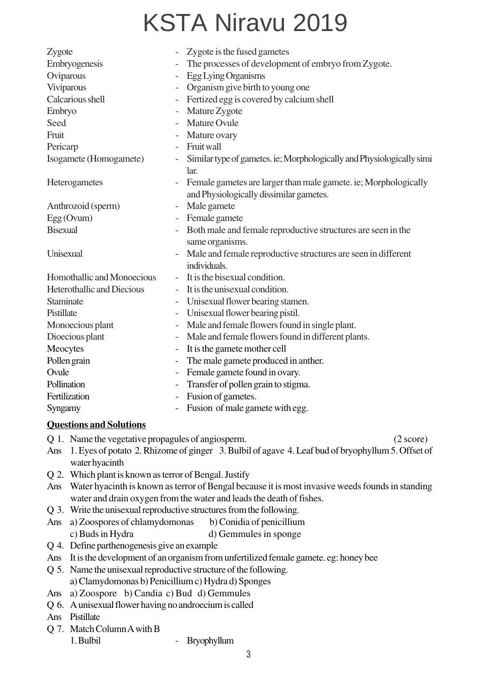| Zygote                            |                          | Zygote is the fused gametes                                           |
|-----------------------------------|--------------------------|-----------------------------------------------------------------------|
| Embryogenesis                     |                          | The processes of development of embryo from Zygote.                   |
| Oviparous                         | $\overline{\phantom{0}}$ | Egg Lying Organisms                                                   |
| Viviparous                        | $\overline{\phantom{0}}$ | Organism give birth to young one                                      |
| Calcarious shell                  | $\qquad \qquad -$        | Fertized egg is covered by calcium shell                              |
| Embryo                            | $\overline{\phantom{0}}$ | Mature Zygote                                                         |
| Seed                              |                          | Mature Ovule                                                          |
| Fruit                             |                          | Mature ovary                                                          |
| Pericarp                          | $\overline{\phantom{a}}$ | Fruit wall                                                            |
| Isogamete (Homogamete)            |                          | Similar type of gametes. ie; Morphologically and Physiologically simi |
|                                   |                          | lar.                                                                  |
| Heterogametes                     |                          | Female gametes are larger than male gamete. ie; Morphologically       |
|                                   |                          | and Physiologically dissimilar gametes.                               |
| Anthrozoid (sperm)                | $\qquad \qquad -$        | Male gamete                                                           |
| $Egg$ (Ovum)                      |                          | Female gamete                                                         |
| <b>Bisexual</b>                   |                          | Both male and female reproductive structures are seen in the          |
|                                   |                          | same organisms.                                                       |
| Unisexual                         |                          | Male and female reproductive structures are seen in different         |
|                                   |                          | individuals.                                                          |
| Homothallic and Monoecious        |                          | It is the bisexual condition.                                         |
| <b>Heterothallic and Diecious</b> |                          | It is the unisexual condition.                                        |
| Staminate                         | $\overline{\phantom{a}}$ | Unisexual flower bearing stamen.                                      |
| Pistillate                        | $\qquad \qquad -$        | Unisexual flower bearing pistil.                                      |
| Monoecious plant                  | $\qquad \qquad -$        | Male and female flowers found in single plant.                        |
| Dioecious plant                   | $\qquad \qquad -$        | Male and female flowers found in different plants.                    |
| Meocytes                          |                          | It is the gamete mother cell                                          |
| Pollen grain                      | $\overline{\phantom{0}}$ | The male gamete produced in anther.                                   |
| Ovule                             |                          | Female gamete found in ovary.                                         |
| Pollination                       | $\qquad \qquad -$        | Transfer of pollen grain to stigma.                                   |
| Fertilization                     |                          | Fusion of gametes.                                                    |
| Syngamy                           | $\blacksquare$           | Fusion of male gamete with egg.                                       |

#### **Questions and Solutions**

Q 1. Name the vegetative propagules of angiosperm. (2 score)

- Ans 1. Eyes of potato 2. Rhizome of ginger 3. Bulbil of agave 4. Leaf bud of bryophyllum 5. Offset of water hyacinth
- Q 2. Which plant is known as terror of Bengal. Justify
- Ans Water hyacinth is known as terror of Bengal because it is most invasive weeds founds in standing water and drain oxygen from the water and leads the death of fishes.
- Q 3. Write the unisexual reproductive structures from the following.
- Ans a) Zoospores of chlamydomonas b) Conidia of penicillium c) Buds in Hydra d) Gemmules in sponge
- Q 4. Define parthenogenesis give an example
- Ans It is the development of an organism from unfertilized female gamete. eg: honey bee
- Q 5. Name the unisexual reproductive structure of the following. a) Clamydomonas b) Penicillium c) Hydra d) Sponges
- Ans a) Zoospore b) Candia c) Bud d) Gemmules
- Q 6. A unisexual flower having no androecium is called
- Ans Pistillate
- Q 7. Match Column A with B
	- 1. Bulbil Bryophyllum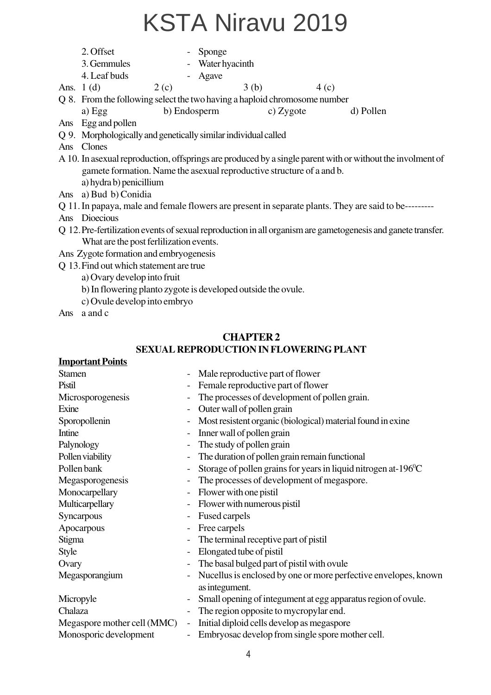- 2. Offset Sponge 3. Gemmules - Water hyacinth
- 4. Leaf buds Agave
- 

Ans. 1 (d)  $2 (c)$   $3 (b)$   $4 (c)$ 

Q 8. From the following select the two having a haploid chromosome number

a) Egg b) Endosperm c) Zygote d) Pollen

- Ans Egg and pollen
- Q 9. Morphologically and genetically similar individual called
- Ans Clones
- A 10. In asexual reproduction, offsprings are produced by a single parent with or without the involment of gamete formation. Name the asexual reproductive structure of a and b. a) hydra b) penicillium
- Ans a) Bud b) Conidia
- Q 11.In papaya, male and female flowers are present in separate plants. They are said to be---------
- Ans Dioecious
- Q 12.Pre-fertilization events of sexual reproduction in all organism are gametogenesis and ganete transfer. What are the post ferlilization events.
- Ans Zygote formation and embryogenesis
- Q 13.Find out which statement are true
	- a) Ovary develop into fruit
	- b) In flowering planto zygote is developed outside the ovule.
	- c) Ovule develop into embryo
- Ans a and c

#### **CHAPTER 2 SEXUAL REPRODUCTION IN FLOWERING PLANT**

#### **Important Points**

| <b>Stamen</b>          |                          | Male reproductive part of flower                                                  |
|------------------------|--------------------------|-----------------------------------------------------------------------------------|
| Pistil                 |                          | Female reproductive part of flower                                                |
| Microsporogenesis      |                          | The processes of development of pollen grain.                                     |
| Exine                  |                          | Outer wall of pollen grain                                                        |
| Sporopollenin          |                          | Most resistent organic (biological) material found in exine                       |
| Intine                 |                          | Inner wall of pollen grain                                                        |
| Palynology             |                          | The study of pollen grain                                                         |
| Pollen viability       | $\overline{\phantom{a}}$ | The duration of pollen grain remain functional                                    |
| Pollen bank            |                          | Storage of pollen grains for years in liquid nitrogen at-196 °C                   |
| Megasporogenesis       |                          | The processes of development of megaspore.                                        |
| Monocarpellary         | $\blacksquare$           | Flower with one pistil                                                            |
| Multicarpellary        |                          | Flower with numerous pistil                                                       |
| Syncarpous             |                          | Fused carpels                                                                     |
| Apocarpous             |                          | Free carpels                                                                      |
| Stigma                 |                          | The terminal receptive part of pistil                                             |
| Style                  |                          | Elongated tube of pistil                                                          |
| Ovary                  |                          | The basal bulged part of pistil with ovule                                        |
| Megasporangium         |                          | Nucellus is enclosed by one or more perfective envelopes, known<br>as integument. |
| Micropyle              | $\overline{\phantom{a}}$ | Small opening of integument at egg apparatus region of ovule.                     |
| Chalaza                | $\overline{\phantom{a}}$ | The region opposite to mycropylar end.                                            |
|                        |                          | Megaspore mother cell (MMC) - Initial diploid cells develop as megaspore          |
| Monosporic development |                          | Embryosac develop from single spore mother cell.                                  |
|                        |                          |                                                                                   |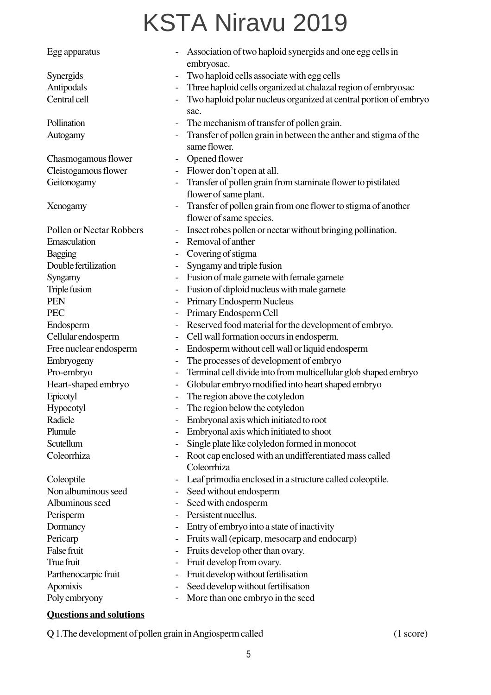| Egg apparatus            |                              | Association of two haploid synergids and one egg cells in<br>embryosac.                  |
|--------------------------|------------------------------|------------------------------------------------------------------------------------------|
| Synergids                |                              | Two haploid cells associate with egg cells                                               |
| Antipodals               | $\qquad \qquad -$            | Three haploid cells organized at chalazal region of embryosac                            |
| Central cell             | $\qquad \qquad -$            | Two haploid polar nucleus organized at central portion of embryo<br>sac.                 |
| Pollination              | $\qquad \qquad -$            | The mechanism of transfer of pollen grain.                                               |
| Autogamy                 |                              | Transfer of pollen grain in between the anther and stigma of the<br>same flower.         |
| Chasmogamous flower      | $\qquad \qquad \blacksquare$ | Opened flower                                                                            |
| Cleistogamous flower     | $\overline{\phantom{a}}$     | Flower don't open at all.                                                                |
| Geitonogamy              |                              | Transfer of pollen grain from staminate flower to pistilated                             |
|                          |                              | flower of same plant.                                                                    |
| Xenogamy                 |                              | Transfer of pollen grain from one flower to stigma of another<br>flower of same species. |
| Pollen or Nectar Robbers |                              | Insect robes pollen or nectar without bringing pollination.                              |
| Emasculation             |                              | Removal of anther                                                                        |
| Bagging                  |                              | Covering of stigma                                                                       |
| Double fertilization     | $\qquad \qquad -$            | Syngamy and triple fusion                                                                |
| Syngamy                  | $\qquad \qquad -$            | Fusion of male gamete with female gamete                                                 |
| Triple fusion            | $\overline{\phantom{0}}$     | Fusion of diploid nucleus with male gamete                                               |
| <b>PEN</b>               | $\qquad \qquad -$            | Primary Endosperm Nucleus                                                                |
| <b>PEC</b>               |                              | Primary Endosperm Cell                                                                   |
| Endosperm                | $\qquad \qquad -$            | Reserved food material for the development of embryo.                                    |
| Cellular endosperm       | $\qquad \qquad -$            | Cell wall formation occurs in endosperm.                                                 |
| Free nuclear endosperm   | $\qquad \qquad \blacksquare$ | Endosperm without cell wall or liquid endosperm                                          |
| Embryogeny               | $\qquad \qquad -$            | The processes of development of embryo                                                   |
| Pro-embryo               |                              | Terminal cell divide into from multicellular glob shaped embryo                          |
| Heart-shaped embryo      | -                            | Globular embryo modified into heart shaped embryo                                        |
| Epicotyl                 | $\qquad \qquad -$            | The region above the cotyledon                                                           |
| Hypocotyl                |                              | The region below the cotyledon                                                           |
| Radicle                  |                              | Embryonal axis which initiated to root                                                   |
| Plumule                  |                              | Embryonal axis which initiated to shoot                                                  |
| Scutellum                | $\qquad \qquad -$            | Single plate like colyledon formed in monocot                                            |
| Coleorrhiza              |                              | Root cap enclosed with an undifferentiated mass called                                   |
|                          |                              | Coleorrhiza                                                                              |
| Coleoptile               | $\qquad \qquad -$            | Leaf primodia enclosed in a structure called coleoptile.                                 |
| Non albuminous seed      |                              | Seed without endosperm                                                                   |
| Albuminous seed          | -                            | Seed with endosperm                                                                      |
| Perisperm                | $\overline{\phantom{a}}$     | Persistent nucellus.                                                                     |
| Dormancy                 | $\overline{\phantom{0}}$     | Entry of embryo into a state of inactivity                                               |
| Pericarp                 | $\qquad \qquad -$            | Fruits wall (epicarp, mesocarp and endocarp)                                             |
| False fruit              | $\qquad \qquad -$            | Fruits develop other than ovary.                                                         |
| True fruit               | -                            | Fruit develop from ovary.                                                                |
| Parthenocarpic fruit     | $\qquad \qquad -$            | Fruit develop without fertilisation                                                      |
| Apomixis                 | $\qquad \qquad -$            | Seed develop without fertilisation                                                       |
| Poly embryony            | $\qquad \qquad -$            | More than one embryo in the seed                                                         |

#### **Questions and solutions**

Q 1. The development of pollen grain in Angiosperm called (1 score)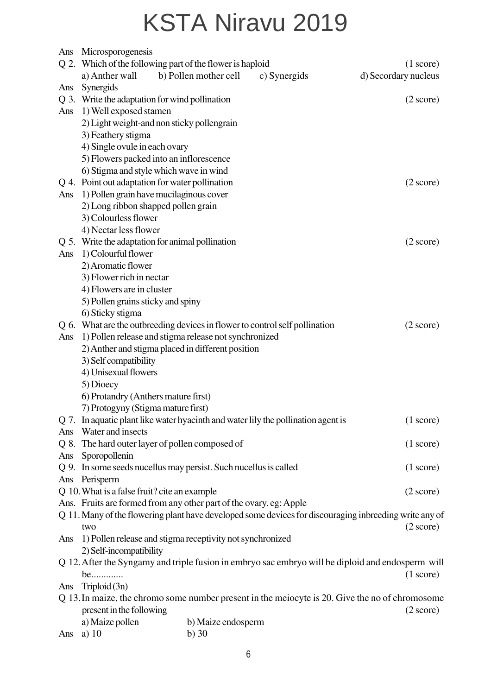| Ans | Microsporogenesis                                                                               |                                                                                    |              |                                                                                                        |  |  |  |  |  |
|-----|-------------------------------------------------------------------------------------------------|------------------------------------------------------------------------------------|--------------|--------------------------------------------------------------------------------------------------------|--|--|--|--|--|
|     | a) Anther wall                                                                                  | Q 2. Which of the following part of the flower is haploid<br>b) Pollen mother cell | c) Synergids | $(1 \text{ score})$                                                                                    |  |  |  |  |  |
|     |                                                                                                 |                                                                                    |              | d) Secordary nucleus                                                                                   |  |  |  |  |  |
| Ans | Synergids                                                                                       |                                                                                    |              |                                                                                                        |  |  |  |  |  |
|     | Q 3. Write the adaptation for wind pollination<br>$(2 \text{ score})$<br>1) Well exposed stamen |                                                                                    |              |                                                                                                        |  |  |  |  |  |
| Ans |                                                                                                 |                                                                                    |              |                                                                                                        |  |  |  |  |  |
|     |                                                                                                 | 2) Light weight-and non sticky pollengrain                                         |              |                                                                                                        |  |  |  |  |  |
|     | 3) Feathery stigma                                                                              |                                                                                    |              |                                                                                                        |  |  |  |  |  |
|     | 4) Single ovule in each ovary                                                                   |                                                                                    |              |                                                                                                        |  |  |  |  |  |
|     |                                                                                                 | 5) Flowers packed into an inflorescence                                            |              |                                                                                                        |  |  |  |  |  |
|     |                                                                                                 | 6) Stigma and style which wave in wind                                             |              |                                                                                                        |  |  |  |  |  |
|     |                                                                                                 | Q 4. Point out adaptation for water pollination                                    |              | $(2 \text{ score})$                                                                                    |  |  |  |  |  |
| Ans |                                                                                                 | 1) Pollen grain have mucilaginous cover                                            |              |                                                                                                        |  |  |  |  |  |
|     | 2) Long ribbon shapped pollen grain                                                             |                                                                                    |              |                                                                                                        |  |  |  |  |  |
|     | 3) Colourless flower                                                                            |                                                                                    |              |                                                                                                        |  |  |  |  |  |
|     | 4) Nectar less flower                                                                           |                                                                                    |              |                                                                                                        |  |  |  |  |  |
|     |                                                                                                 | Q 5. Write the adaptation for animal pollination                                   |              | $(2 \text{ score})$                                                                                    |  |  |  |  |  |
| Ans | 1) Colourful flower                                                                             |                                                                                    |              |                                                                                                        |  |  |  |  |  |
|     | 2) Aromatic flower                                                                              |                                                                                    |              |                                                                                                        |  |  |  |  |  |
|     | 3) Flower rich in nectar                                                                        |                                                                                    |              |                                                                                                        |  |  |  |  |  |
|     | 4) Flowers are in cluster                                                                       |                                                                                    |              |                                                                                                        |  |  |  |  |  |
|     | 5) Pollen grains sticky and spiny                                                               |                                                                                    |              |                                                                                                        |  |  |  |  |  |
|     | 6) Sticky stigma                                                                                |                                                                                    |              |                                                                                                        |  |  |  |  |  |
|     |                                                                                                 | Q 6. What are the outbreeding devices in flower to control self pollination        |              | $(2 \text{ score})$                                                                                    |  |  |  |  |  |
| Ans | 1) Pollen release and stigma release not synchronized                                           |                                                                                    |              |                                                                                                        |  |  |  |  |  |
|     |                                                                                                 | 2) Anther and stigma placed in different position                                  |              |                                                                                                        |  |  |  |  |  |
|     | 3) Self compatibility                                                                           |                                                                                    |              |                                                                                                        |  |  |  |  |  |
|     | 4) Unisexual flowers                                                                            |                                                                                    |              |                                                                                                        |  |  |  |  |  |
|     | 5) Dioecy                                                                                       |                                                                                    |              |                                                                                                        |  |  |  |  |  |
|     | 6) Protandry (Anthers mature first)                                                             |                                                                                    |              |                                                                                                        |  |  |  |  |  |
|     | 7) Protogyny (Stigma mature first)                                                              |                                                                                    |              |                                                                                                        |  |  |  |  |  |
|     |                                                                                                 | Q 7. In aquatic plant like water hyacinth and water lily the pollination agent is  |              | $(1 \text{ score})$                                                                                    |  |  |  |  |  |
| Ans | Water and insects                                                                               |                                                                                    |              |                                                                                                        |  |  |  |  |  |
|     |                                                                                                 | Q 8. The hard outer layer of pollen composed of                                    |              | $(1 \text{ score})$                                                                                    |  |  |  |  |  |
|     | Ans Sporopollenin                                                                               |                                                                                    |              |                                                                                                        |  |  |  |  |  |
|     |                                                                                                 | Q 9. In some seeds nucellus may persist. Such nucellus is called                   |              | $(1 \text{ score})$                                                                                    |  |  |  |  |  |
|     | Ans Perisperm                                                                                   |                                                                                    |              |                                                                                                        |  |  |  |  |  |
|     | Q 10. What is a false fruit? cite an example                                                    |                                                                                    |              | $(2 \text{ score})$                                                                                    |  |  |  |  |  |
|     |                                                                                                 | Ans. Fruits are formed from any other part of the ovary. eg: Apple                 |              |                                                                                                        |  |  |  |  |  |
|     |                                                                                                 |                                                                                    |              | Q 11. Many of the flowering plant have developed some devices for discouraging inbreeding write any of |  |  |  |  |  |
|     | two                                                                                             |                                                                                    |              | $(2 \text{ score})$                                                                                    |  |  |  |  |  |
| Ans |                                                                                                 | 1) Pollen release and stigma receptivity not synchronized                          |              |                                                                                                        |  |  |  |  |  |
|     | 2) Self-incompatibility                                                                         |                                                                                    |              |                                                                                                        |  |  |  |  |  |
|     |                                                                                                 |                                                                                    |              | Q 12. After the Syngamy and triple fusion in embryo sac embryo will be diploid and endosperm will      |  |  |  |  |  |
|     | be                                                                                              |                                                                                    |              | $(1 \text{ score})$                                                                                    |  |  |  |  |  |
| Ans | Triploid $(3n)$                                                                                 |                                                                                    |              |                                                                                                        |  |  |  |  |  |
|     |                                                                                                 |                                                                                    |              | Q 13. In maize, the chromo some number present in the meiocyte is 20. Give the no of chromosome        |  |  |  |  |  |
|     | present in the following                                                                        |                                                                                    |              | $(2 \text{ score})$                                                                                    |  |  |  |  |  |
|     | a) Maize pollen                                                                                 | b) Maize endosperm                                                                 |              |                                                                                                        |  |  |  |  |  |
| Ans | a) $10$                                                                                         | $b)$ 30                                                                            |              |                                                                                                        |  |  |  |  |  |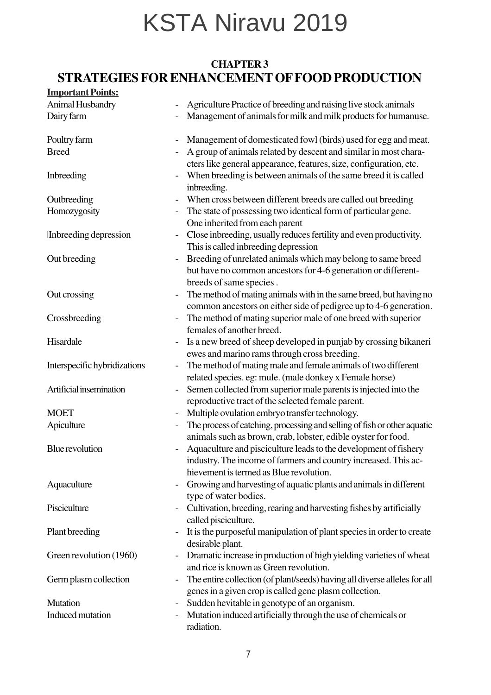#### **CHAPTER 3 STRATEGIES FOR ENHANCEMENT OF FOOD PRODUCTION**

| <b>Important Points:</b>     |                          |                                                                                                                                                                                |
|------------------------------|--------------------------|--------------------------------------------------------------------------------------------------------------------------------------------------------------------------------|
| Animal Husbandry             |                          | Agriculture Practice of breeding and raising live stock animals                                                                                                                |
| Dairy farm                   |                          | Management of animals for milk and milk products for humanuse.                                                                                                                 |
| Poultry farm                 |                          | Management of domesticated fowl (birds) used for egg and meat.                                                                                                                 |
| <b>Breed</b>                 |                          | A group of animals related by descent and similar in most chara-<br>cters like general appearance, features, size, configuration, etc.                                         |
| Inbreeding                   |                          | When breeding is between animals of the same breed it is called<br>inbreeding.                                                                                                 |
| Outbreeding                  |                          | When cross between different breeds are called out breeding                                                                                                                    |
| Homozygosity                 |                          | The state of possessing two identical form of particular gene.<br>One inherited from each parent                                                                               |
| Inbreeding depression        |                          | Close inbreeding, usually reduces fertility and even productivity.<br>This is called inbreeding depression                                                                     |
| Out breeding                 | $\overline{\phantom{0}}$ | Breeding of unrelated animals which may belong to same breed<br>but have no common ancestors for 4-6 generation or different-<br>breeds of same species.                       |
| Out crossing                 | $\overline{\phantom{0}}$ | The method of mating animals with in the same breed, but having no<br>common ancestors on either side of pedigree up to 4-6 generation.                                        |
| Crossbreeding                | $\overline{\phantom{a}}$ | The method of mating superior male of one breed with superior<br>females of another breed.                                                                                     |
| Hisardale                    |                          | Is a new breed of sheep developed in punjab by crossing bikaneri<br>ewes and marino rams through cross breeding.                                                               |
| Interspecific hybridizations |                          | The method of mating male and female animals of two different<br>related species. eg: mule. (male donkey x Female horse)                                                       |
| Artificial insemination      |                          | Semen collected from superior male parents is injected into the<br>reproductive tract of the selected female parent.                                                           |
| <b>MOET</b>                  | $\overline{\phantom{a}}$ | Multiple ovulation embryo transfer technology.                                                                                                                                 |
| Apiculture                   |                          | The process of catching, processing and selling of fish or other aquatic<br>animals such as brown, crab, lobster, edible oyster for food.                                      |
| <b>Blue</b> revolution       |                          | Aquaculture and pisciculture leads to the development of fishery<br>industry. The income of farmers and country increased. This ac-<br>hievement is termed as Blue revolution. |
| Aquaculture                  |                          | Growing and harvesting of aquatic plants and animals in different<br>type of water bodies.                                                                                     |
| Pisciculture                 |                          | Cultivation, breeding, rearing and harvesting fishes by artificially<br>called pisciculture.                                                                                   |
| Plant breeding               |                          | It is the purposeful manipulation of plant species in order to create<br>desirable plant.                                                                                      |
| Green revolution (1960)      | $\qquad \qquad -$        | Dramatic increase in production of high yielding varieties of wheat<br>and rice is known as Green revolution.                                                                  |
| Germ plasm collection        |                          | The entire collection (of plant/seeds) having all diverse alleles for all<br>genes in a given crop is called gene plasm collection.                                            |
| <b>Mutation</b>              |                          | Sudden hevitable in genotype of an organism.                                                                                                                                   |
| Induced mutation             | $\overline{\phantom{a}}$ | Mutation induced artificially through the use of chemicals or                                                                                                                  |
|                              |                          | radiation.                                                                                                                                                                     |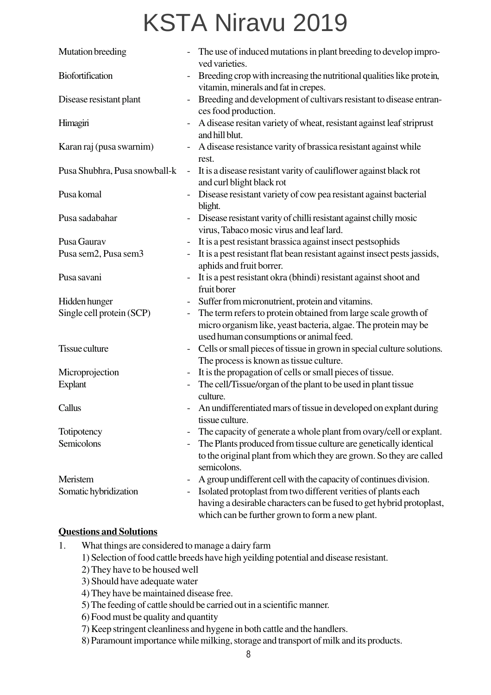| Mutation breeding             |                          | The use of induced mutations in plant breeding to develop impro-<br>ved varieties.                                                                                                        |
|-------------------------------|--------------------------|-------------------------------------------------------------------------------------------------------------------------------------------------------------------------------------------|
| <b>Biofortification</b>       |                          | Breeding crop with increasing the nutritional qualities like protein,<br>vitamin, minerals and fat in crepes.                                                                             |
| Disease resistant plant       |                          | Breeding and development of cultivars resistant to disease entran-<br>ces food production.                                                                                                |
| Himagiri                      | $\overline{\phantom{m}}$ | A disease resitan variety of wheat, resistant against leaf striprust<br>and hill blut.                                                                                                    |
| Karan raj (pusa swarnim)      |                          | A disease resistance varity of brassica resistant against while<br>rest.                                                                                                                  |
| Pusa Shubhra, Pusa snowball-k | $\overline{\phantom{a}}$ | It is a disease resistant varity of cauliflower against black rot<br>and curl blight black rot                                                                                            |
| Pusa komal                    |                          | Disease resistant variety of cow pea resistant against bacterial<br>blight.                                                                                                               |
| Pusa sadabahar                |                          | Disease resistant varity of chilli resistant against chilly mosic<br>virus, Tabaco mosic virus and leaf lard.                                                                             |
| Pusa Gaurav                   |                          | It is a pest resistant brassica against insect pestsophids                                                                                                                                |
| Pusa sem2, Pusa sem3          |                          | It is a pest resistant flat bean resistant against insect pests jassids,<br>aphids and fruit borrer.                                                                                      |
| Pusa savani                   |                          | It is a pest resistant okra (bhindi) resistant against shoot and<br>fruit borer                                                                                                           |
| Hidden hunger                 |                          | Suffer from micronutrient, protein and vitamins.                                                                                                                                          |
| Single cell protein (SCP)     |                          | The term refers to protein obtained from large scale growth of<br>micro organism like, yeast bacteria, algae. The protein may be<br>used human consumptions or animal feed.               |
| Tissue culture                |                          | Cells or small pieces of tissue in grown in special culture solutions.<br>The process is known as tissue culture.                                                                         |
| Microprojection               |                          | It is the propagation of cells or small pieces of tissue.                                                                                                                                 |
| <b>Explant</b>                |                          | The cell/Tissue/organ of the plant to be used in plant tissue<br>culture.                                                                                                                 |
| Callus                        |                          | An undifferentiated mars of tissue in developed on explant during<br>tissue culture.                                                                                                      |
| Totipotency                   |                          | The capacity of generate a whole plant from ovary/cell or explant.                                                                                                                        |
| Semicolons                    |                          | The Plants produced from tissue culture are genetically identical<br>to the original plant from which they are grown. So they are called<br>semicolons.                                   |
| Meristem                      |                          | A group undifferent cell with the capacity of continues division.                                                                                                                         |
| Somatic hybridization         |                          | Isolated protoplast from two different verities of plants each<br>having a desirable characters can be fused to get hybrid protoplast,<br>which can be further grown to form a new plant. |

#### **Questions and Solutions**

- 1. What things are considered to manage a dairy farm
	- 1) Selection of food cattle breeds have high yeilding potential and disease resistant.
	- 2) They have to be housed well
	- 3) Should have adequate water
	- 4) They have be maintained disease free.
	- 5) The feeding of cattle should be carried out in a scientific manner.
	- 6) Food must be quality and quantity
	- 7) Keep stringent cleanliness and hygene in both cattle and the handlers.
	- 8) Paramount importance while milking, storage and transport of milk and its products.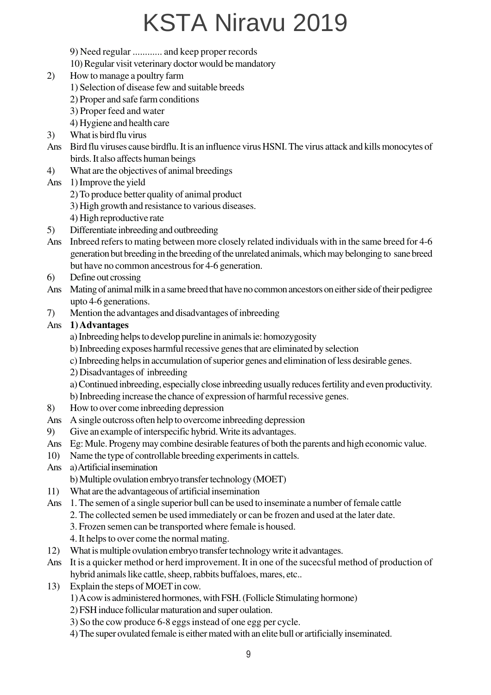- 9) Need regular ............ and keep proper records
- 10) Regular visit veterinary doctor would be mandatory
- 2) How to manage a poultry farm
	- 1) Selection of disease few and suitable breeds
	- 2) Proper and safe farm conditions
	- 3) Proper feed and water
	- 4) Hygiene and health care
- 3) What is bird flu virus
- Ans Bird flu viruses cause birdflu. It is an influence virus HSNI. The virus attack and kills monocytes of birds. It also affects human beings
- 4) What are the objectives of animal breedings
- Ans 1) Improve the yield
	- 2) To produce better quality of animal product
	- 3) High growth and resistance to various diseases.
	- 4) High reproductive rate
- 5) Differentiate inbreeding and outbreeding
- Ans Inbreed refers to mating between more closely related individuals with in the same breed for 4-6 generation but breeding in the breeding of the unrelated animals, which may belonging to sane breed but have no common ancestrous for 4-6 generation.
- 6) Define out crossing
- Ans Mating of animal milk in a same breed that have no common ancestors on either side of their pedigree upto 4-6 generations.
- 7) Mention the advantages and disadvantages of inbreeding

#### Ans **1) Advantages**

- a) Inbreeding helps to develop pureline in animals ie: homozygosity
- b) Inbreeding exposes harmful recessive genes that are eliminated by selection
- c) Inbreeding helps in accumulation of superior genes and elimination of less desirable genes.
- 2) Disadvantages of inbreeding

a) Continued inbreeding, especially close inbreeding usually reduces fertility and even productivity.

- b) Inbreeding increase the chance of expression of harmful recessive genes.
- 8) How to over come inbreeding depression
- Ans A single outcross often help to overcome inbreeding depression
- 9) Give an example of interspecific hybrid. Write its advantages.
- Ans Eg: Mule. Progeny may combine desirable features of both the parents and high economic value.
- 10) Name the type of controllable breeding experiments in cattels.
- Ans a) Artificial insemination
	- b) Multiple ovulation embryo transfer technology (MOET)
- 11) What are the advantageous of artificial insemination
- Ans 1. The semen of a single superior bull can be used to inseminate a number of female cattle
	- 2. The collected semen be used immediately or can be frozen and used at the later date.
		- 3. Frozen semen can be transported where female is housed.
		- 4. It helps to over come the normal mating.
- 12) What is multiple ovulation embryo transfer technology write it advantages.
- Ans It is a quicker method or herd improvement. It in one of the sucecsful method of production of hybrid animals like cattle, sheep, rabbits buffaloes, mares, etc..
- 13) Explain the steps of MOET in cow.
	- 1) A cow is administered hormones, with FSH. (Follicle Stimulating hormone)
	- 2) FSH induce follicular maturation and super oulation.
	- 3) So the cow produce 6-8 eggs instead of one egg per cycle.
	- 4) The super ovulated female is either mated with an elite bull or artificially inseminated.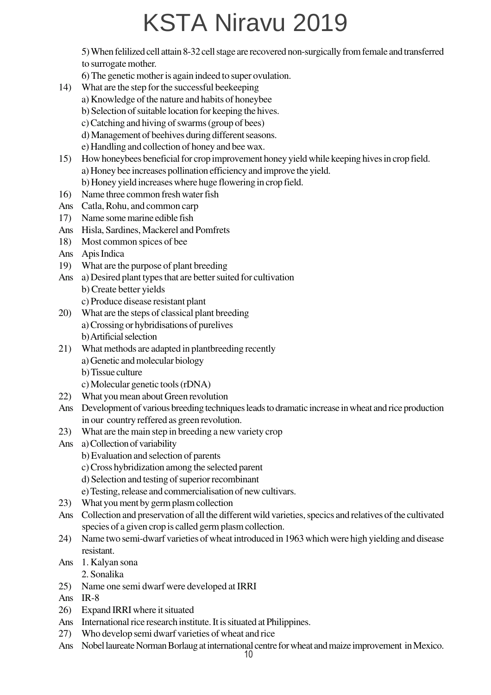5) When felilized cell attain 8-32 cell stage are recovered non-surgically from female and transferred to surrogate mother.

- 6) The genetic mother is again indeed to super ovulation.
- 14) What are the step for the successful beekeeping
	- a) Knowledge of the nature and habits of honeybee
	- b) Selection of suitable location for keeping the hives.
	- c) Catching and hiving of swarms (group of bees)
	- d) Management of beehives during different seasons.
	- e) Handling and collection of honey and bee wax.
- 15) How honeybees beneficial for crop improvement honey yield while keeping hives in crop field. a) Honey bee increases pollination efficiency and improve the yield. b) Honey yield increases where huge flowering in crop field.
- 16) Name three common fresh water fish
- Ans Catla, Rohu, and common carp
- 17) Name some marine edible fish
- Ans Hisla, Sardines, Mackerel and Pomfrets
- 18) Most common spices of bee
- Ans Apis Indica
- 19) What are the purpose of plant breeding
- Ans a) Desired plant types that are better suited for cultivation b) Create better yields
	- c) Produce disease resistant plant
- 20) What are the steps of classical plant breeding a) Crossing or hybridisations of purelives b) Artificial selection
- 21) What methods are adapted in plantbreeding recently a) Genetic and molecular biology
	- b) Tissue culture
	- c) Molecular genetic tools (rDNA)
- 22) What you mean about Green revolution
- Ans Development of various breeding techniques leads to dramatic increase in wheat and rice production in our country reffered as green revolution.
- 23) What are the main step in breeding a new variety crop
- Ans a) Collection of variability
	- b) Evaluation and selection of parents
	- c) Cross hybridization among the selected parent
	- d) Selection and testing of superior recombinant
	- e) Testing, release and commercialisation of new cultivars.
- 23) What you ment by germ plasm collection
- Ans Collection and preservation of all the different wild varieties, specics and relatives of the cultivated species of a given crop is called germ plasm collection.
- 24) Name two semi-dwarf varieties of wheat introduced in 1963 which were high yielding and disease resistant.
- Ans 1. Kalyan sona
	- 2. Sonalika
- 25) Name one semi dwarf were developed at IRRI
- Ans IR-8
- 26) Expand IRRI where it situated
- Ans International rice research institute. It is situated at Philippines.
- 27) Who develop semi dwarf varieties of wheat and rice
- Ans Nobel laureate Norman Borlaug at international centre for wheat and maize improvement in Mexico.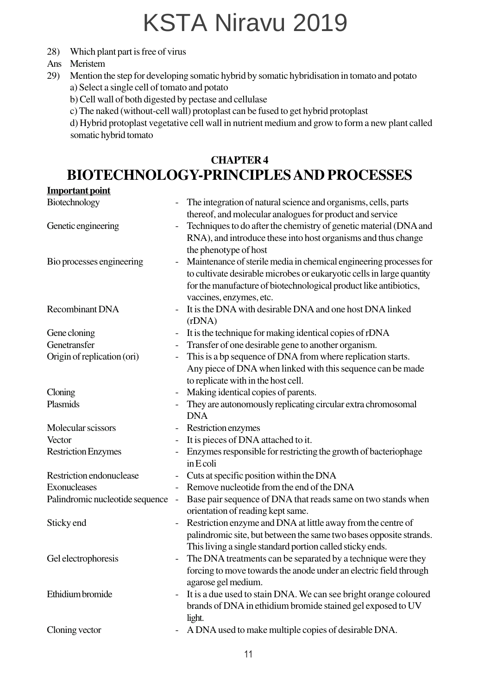- 28) Which plant part is free of virus
- Ans Meristem
- 29) Mention the step for developing somatic hybrid by somatic hybridisation in tomato and potato a) Select a single cell of tomato and potato
	-
	- b) Cell wall of both digested by pectase and cellulase
	- c) The naked (without-cell wall) protoplast can be fused to get hybrid protoplast

d) Hybrid protoplast vegetative cell wall in nutrient medium and grow to form a new plant called somatic hybrid tomato

#### **CHAPTER 4 BIOTECHNOLOGY-PRINCIPLES AND PROCESSES**

#### **Important point**

| Biotechnology                   |                          | The integration of natural science and organisms, cells, parts<br>thereof, and molecular analogues for product and service                                                                                                                  |
|---------------------------------|--------------------------|---------------------------------------------------------------------------------------------------------------------------------------------------------------------------------------------------------------------------------------------|
| Genetic engineering             |                          | Techniques to do after the chemistry of genetic material (DNA and<br>RNA), and introduce these into host organisms and thus change<br>the phenotype of host                                                                                 |
| Bio processes engineering       |                          | Maintenance of sterile media in chemical engineering processes for<br>to cultivate desirable microbes or eukaryotic cells in large quantity<br>for the manufacture of biotechnological product like antibiotics,<br>vaccines, enzymes, etc. |
| <b>Recombinant DNA</b>          |                          | It is the DNA with desirable DNA and one host DNA linked<br>(rDNA)                                                                                                                                                                          |
| Gene cloning                    |                          | It is the technique for making identical copies of rDNA                                                                                                                                                                                     |
| Genetransfer                    | $\qquad \qquad -$        | Transfer of one desirable gene to another organism.                                                                                                                                                                                         |
| Origin of replication (ori)     |                          | This is a bp sequence of DNA from where replication starts.<br>Any piece of DNA when linked with this sequence can be made<br>to replicate with in the host cell.                                                                           |
| Cloning                         |                          | Making identical copies of parents.                                                                                                                                                                                                         |
| Plasmids                        |                          | They are autonomously replicating circular extra chromosomal<br><b>DNA</b>                                                                                                                                                                  |
| Molecular scissors              | $\qquad \qquad -$        | Restriction enzymes                                                                                                                                                                                                                         |
| Vector                          |                          | It is pieces of DNA attached to it.                                                                                                                                                                                                         |
| <b>Restriction Enzymes</b>      |                          | Enzymes responsible for restricting the growth of bacteriophage<br>in E coli                                                                                                                                                                |
| Restriction endonuclease        |                          | Cuts at specific position within the DNA                                                                                                                                                                                                    |
| Exonucleases                    |                          | Remove nucleotide from the end of the DNA                                                                                                                                                                                                   |
| Palindromic nucleotide sequence | $\overline{\phantom{a}}$ | Base pair sequence of DNA that reads same on two stands when<br>orientation of reading kept same.                                                                                                                                           |
| Sticky end                      | $\qquad \qquad -$        | Restriction enzyme and DNA at little away from the centre of<br>palindromic site, but between the same two bases opposite strands.<br>This living a single standard portion called sticky ends.                                             |
| Gel electrophoresis             | $\overline{\phantom{a}}$ | The DNA treatments can be separated by a technique were they<br>forcing to move towards the anode under an electric field through<br>agarose gel medium.                                                                                    |
| Ethidium bromide                |                          | It is a due used to stain DNA. We can see bright orange coloured<br>brands of DNA in ethidium bromide stained gel exposed to UV<br>light.                                                                                                   |
| Cloning vector                  |                          | A DNA used to make multiple copies of desirable DNA.                                                                                                                                                                                        |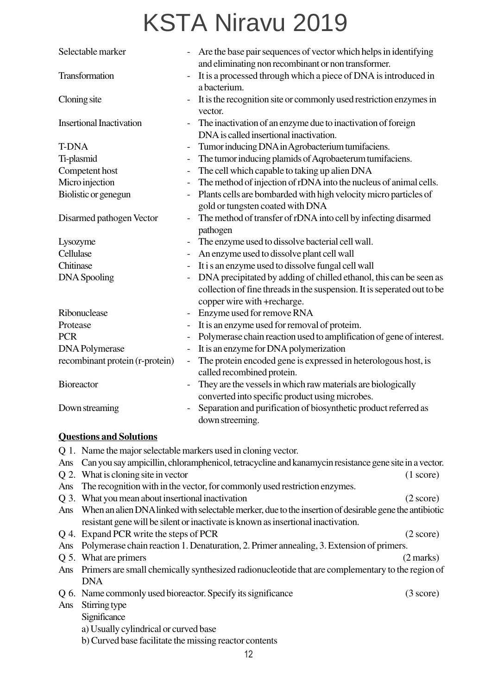| Selectable marker                                              | $\qquad \qquad -$        | Are the base pair sequences of vector which helps in identifying<br>and eliminating non recombinant or non transformer.                                                      |
|----------------------------------------------------------------|--------------------------|------------------------------------------------------------------------------------------------------------------------------------------------------------------------------|
| Transformation                                                 |                          | It is a processed through which a piece of DNA is introduced in<br>a bacterium.                                                                                              |
| Cloning site                                                   |                          | It is the recognition site or commonly used restriction enzymes in<br>vector.                                                                                                |
| <b>Insertional Inactivation</b>                                |                          | The inactivation of an enzyme due to inactivation of foreign<br>DNA is called insertional inactivation.                                                                      |
| <b>T-DNA</b>                                                   |                          | Tumor inducing DNA in Agrobacterium tumifaciens.                                                                                                                             |
| Ti-plasmid                                                     | $\overline{\phantom{0}}$ | The tumor inducing plamids of Aqrobaeterum tumifaciens.                                                                                                                      |
| Competent host                                                 | $\overline{a}$           | The cell which capable to taking up alien DNA                                                                                                                                |
| Micro injection                                                |                          | The method of injection of rDNA into the nucleus of animal cells.                                                                                                            |
| Biolistic or genegun                                           |                          | Plants cells are bombarded with high velocity micro particles of<br>gold or tungsten coated with DNA                                                                         |
| Disarmed pathogen Vector                                       |                          | The method of transfer of rDNA into cell by infecting disarmed<br>pathogen                                                                                                   |
| Lysozyme                                                       |                          | The enzyme used to dissolve bacterial cell wall.                                                                                                                             |
| Cellulase                                                      |                          | An enzyme used to dissolve plant cell wall                                                                                                                                   |
| Chitinase                                                      |                          | It is an enzyme used to dissolve fungal cell wall                                                                                                                            |
| <b>DNA</b> Spooling                                            | $\qquad \qquad -$        | DNA precipitated by adding of chilled ethanol, this can be seen as<br>collection of fine threads in the suspension. It is seperated out to be<br>copper wire with +recharge. |
| Ribonuclease                                                   |                          | Enzyme used for remove RNA                                                                                                                                                   |
| Protease                                                       |                          | It is an enzyme used for removal of proteim.                                                                                                                                 |
| <b>PCR</b>                                                     |                          | Polymerase chain reaction used to amplification of gene of interest.                                                                                                         |
| <b>DNA</b> Polymerase                                          | $\overline{\phantom{0}}$ | It is an enzyme for DNA polymerization                                                                                                                                       |
| recombinant protein (r-protein)                                | $\qquad \qquad -$        | The protein encoded gene is expressed in heterologous host, is<br>called recombined protein.                                                                                 |
| <b>Bioreactor</b>                                              |                          | They are the vessels in which raw materials are biologically<br>converted into specific product using microbes.                                                              |
| Down streaming                                                 |                          | Separation and purification of biosynthetic product referred as<br>down streeming.                                                                                           |
| <b>Questions and Solutions</b>                                 |                          |                                                                                                                                                                              |
| Q 1. Name the major selectable markers used in cloning vector. |                          |                                                                                                                                                                              |
| Ans                                                            |                          | Can you say ampicillin, chloramphenicol, tetracycline and kanamycin resistance gene site in a vector.                                                                        |
| Q 2. What is cloning site in vector                            |                          | (1 score)                                                                                                                                                                    |

- Ans The recognition with in the vector, for commonly used restriction enzymes.
- Q 3. What you mean about insertional inactivation (2 score)
- Ans When an alien DNA linked with selectable merker, due to the insertion of desirable gene the antibiotic resistant gene will be silent or inactivate is known as insertional inactivation.
- Q 4. Expand PCR write the steps of PCR (2 score)
- Ans Polymerase chain reaction 1. Denaturation, 2. Primer annealing, 3. Extension of primers.
- Q 5. What are primers (2 marks)
- Ans Primers are small chemically synthesized radionucleotide that are complementary to the region of DNA
- Q 6. Name commonly used bioreactor. Specify its significance (3 score)
- Ans Stirring type
	- **Significance** 
		- a) Usually cylindrical or curved base
		- b) Curved base facilitate the missing reactor contents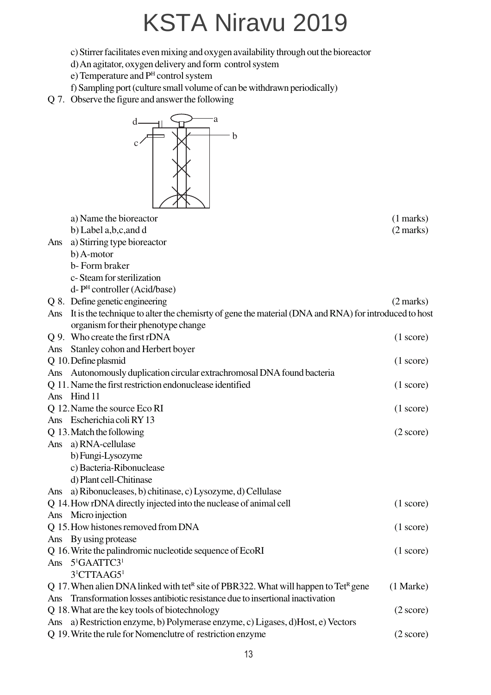c) Stirrer facilitates even mixing and oxygen availability through out the bioreactor

- d) An agitator, oxygen delivery and form control system
- e) Temperature and P<sup>H</sup> control system
- f) Sampling port (culture small volume of can be withdrawn periodically)
- Q 7. Observe the figure and answer the following

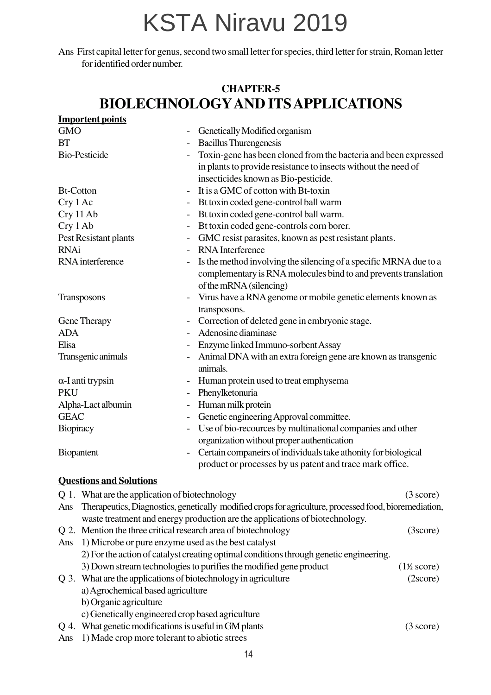Ans First capital letter for genus, second two small letter for species, third letter for strain, Roman letter for identified order number.

#### **CHAPTER-5 BIOLECHNOLOGYAND ITS APPLICATIONS**

|                  | <b>Importent points</b>                                   |                              |                                                                                                        |                                |
|------------------|-----------------------------------------------------------|------------------------------|--------------------------------------------------------------------------------------------------------|--------------------------------|
| <b>GMO</b>       |                                                           |                              | Genetically Modified organism                                                                          |                                |
| <b>BT</b>        |                                                           |                              | <b>Bacillus Thurengenesis</b>                                                                          |                                |
|                  | <b>Bio-Pesticide</b>                                      |                              | Toxin-gene has been cloned from the bacteria and been expressed                                        |                                |
|                  |                                                           |                              | in plants to provide resistance to insects without the need of                                         |                                |
|                  |                                                           |                              | insecticides known as Bio-pesticide.                                                                   |                                |
| <b>Bt-Cotton</b> |                                                           |                              | It is a GMC of cotton with Bt-toxin                                                                    |                                |
| Cry 1 Ac         |                                                           | $\blacksquare$               | Bt toxin coded gene-control ball warm                                                                  |                                |
| Cry 11 Ab        |                                                           | $\qquad \qquad \blacksquare$ | Bt toxin coded gene-control ball warm.                                                                 |                                |
| Cry 1 Ab         |                                                           |                              | Bt toxin coded gene-controls corn borer.                                                               |                                |
|                  | Pest Resistant plants                                     | $\qquad \qquad \blacksquare$ | GMC resist parasites, known as pest resistant plants.                                                  |                                |
| <b>RNAi</b>      |                                                           |                              | <b>RNA</b> Interference                                                                                |                                |
|                  | RNA interference                                          |                              | Is the method involving the silencing of a specific MRNA due to a                                      |                                |
|                  |                                                           |                              | complementary is RNA molecules bind to and prevents translation                                        |                                |
|                  |                                                           |                              | of the mRNA (silencing)                                                                                |                                |
|                  | Transposons                                               |                              | Virus have a RNA genome or mobile genetic elements known as                                            |                                |
|                  |                                                           |                              | transposons.                                                                                           |                                |
|                  | Gene Therapy                                              |                              | Correction of deleted gene in embryonic stage.                                                         |                                |
| <b>ADA</b>       |                                                           |                              | Adenosine diaminase                                                                                    |                                |
| Elisa            |                                                           |                              | Enzyme linked Immuno-sorbent Assay                                                                     |                                |
|                  | Transgenic animals                                        | $\qquad \qquad \blacksquare$ | Animal DNA with an extra foreign gene are known as transgenic<br>animals.                              |                                |
|                  | $\alpha$ -I anti trypsin                                  |                              | Human protein used to treat emphysema                                                                  |                                |
| <b>PKU</b>       |                                                           | $\overline{\phantom{a}}$     | Phenylketonuria                                                                                        |                                |
|                  | Alpha-Lact albumin                                        | $\overline{\phantom{a}}$     | Human milk protein                                                                                     |                                |
| <b>GEAC</b>      |                                                           |                              | Genetic engineering Approval committee.                                                                |                                |
| Biopiracy        |                                                           | $\overline{\phantom{a}}$     | Use of bio-recources by multinational companies and other                                              |                                |
|                  |                                                           |                              | organization without proper authentication                                                             |                                |
| Biopantent       |                                                           | $\overline{\phantom{a}}$     | Certain companeirs of individuals take athonity for biological                                         |                                |
|                  |                                                           |                              | product or processes by us patent and trace mark office.                                               |                                |
|                  | <b>Questions and Solutions</b>                            |                              |                                                                                                        |                                |
|                  | Q 1. What are the application of biotechnology            |                              |                                                                                                        | $(3 \text{ score})$            |
| Ans              |                                                           |                              | Therapeutics, Diagnostics, genetically modified crops for agriculture, processed food, bioremediation, |                                |
|                  |                                                           |                              | waste treatment and energy production are the applications of biotechnology.                           |                                |
| Q 2.             | Mention the three critical research area of biotechnology |                              |                                                                                                        | (3score)                       |
| Ans              | 1) Microbe or pure enzyme used as the best catalyst       |                              |                                                                                                        |                                |
|                  |                                                           |                              | 2) For the action of catalyst creating optimal conditions through genetic engineering.                 |                                |
|                  |                                                           |                              | 3) Down stream technologies to purifies the modified gene product                                      | $(1\frac{1}{2} \text{ score})$ |
| Q 3.             | What are the applications of biotechnology in agriculture |                              |                                                                                                        | (2score)                       |
|                  | a) Agrochemical based agriculture                         |                              |                                                                                                        |                                |

- b) Organic agriculture
- c) Genetically engineered crop based agriculture
- Q 4. What genetic modifications is useful in GM plants (3 score)
- Ans 1) Made crop more tolerant to abiotic strees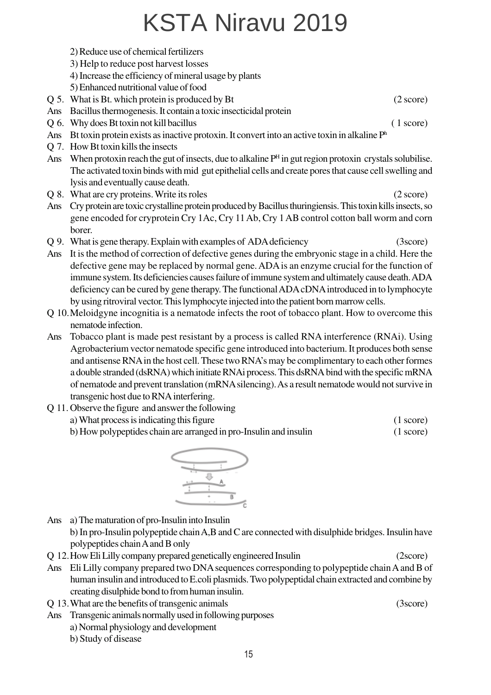- 2) Reduce use of chemical fertilizers
- 3) Help to reduce post harvest losses
- 4) Increase the efficiency of mineral usage by plants
- 5) Enhanced nutritional value of food
- Q 5. What is Bt. which protein is produced by Bt (2 score)
- Ans Bacillus thermogenesis. It contain a toxic insecticidal protein
- Q 6. Why does Bt toxin not kill bacillus ( 1 score)
- Ans Bt toxin protein exists as inactive protoxin. It convert into an active toxin in alkaline Ph
- Q 7. How Bt toxin kills the insects
- Ans When protoxin reach the gut of insects, due to alkaline  $P<sup>H</sup>$  in gut region protoxin crystals solubilise. The activated toxin binds with mid gut epithelial cells and create pores that cause cell swelling and lysis and eventually cause death.
- Q 8. What are cry proteins. Write its roles (2 score)
- Ans Cry protein are toxic crystalline protein produced by Bacillus thuringiensis. This toxin kills insects, so gene encoded for cryprotein Cry 1Ac, Cry 11 Ab, Cry 1 AB control cotton ball worm and corn borer.
- Q 9. What is gene therapy. Explain with examples of ADA deficiency (3score)
- Ans It is the method of correction of defective genes during the embryonic stage in a child. Here the defective gene may be replaced by normal gene. ADA is an enzyme crucial for the function of immune system. Its deficiencies causes failure of immune system and ultimately cause death. ADA deficiency can be cured by gene therapy. The functional ADA cDNA introduced in to lymphocyte by using ritroviral vector. This lymphocyte injected into the patient born marrow cells.
- Q 10.Meloidgyne incognitia is a nematode infects the root of tobacco plant. How to overcome this nematode infection.
- Ans Tobacco plant is made pest resistant by a process is called RNA interference (RNAi). Using Agrobacterium vector nematode specific gene introduced into bacterium. It produces both sense and antisense RNA in the host cell. These two RNA's may be complimentary to each other formes a double stranded (dsRNA) which initiate RNAi process. This dsRNA bind with the specific mRNA of nematode and prevent translation (mRNA silencing). As a result nematode would not survive in transgenic host due to RNA interfering.
- Q 11. Observe the figure and answer the following
	- a) What process is indicating this figure (1 score)
	- b) How polypeptides chain are arranged in pro-Insulin and insulin (1 score)



Ans a) The maturation of pro-Insulin into Insulin

b) In pro-Insulin polypeptide chain A,B and C are connected with disulphide bridges. Insulin have polypeptides chain A and B only

- Q 12.How Eli Lilly company prepared genetically engineered Insulin (2score)
- Ans Eli Lilly company prepared two DNA sequences corresponding to polypeptide chain A and B of human insulin and introduced to E.coli plasmids. Two polypeptidal chain extracted and combine by creating disulphide bond to from human insulin.
- Q 13.What are the benefits of transgenic animals (3score)
- Ans Transgenic animals normally used in following purposes
	- a) Normal physiology and development
	- b) Study of disease

15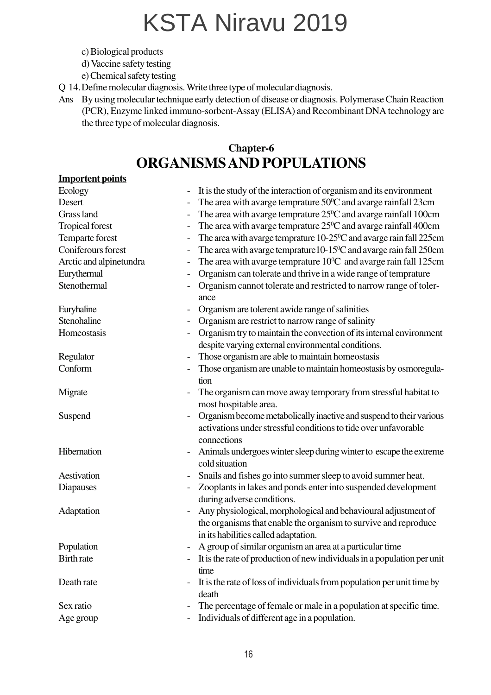- c) Biological products
- d) Vaccine safety testing
- e) Chemical safety testing
- Q 14.Define molecular diagnosis. Write three type of molecular diagnosis.
- Ans By using molecular technique early detection of disease or diagnosis. Polymerase Chain Reaction (PCR), Enzyme linked immuno-sorbent-Assay (ELISA) and Recombinant DNA technology are the three type of molecular diagnosis.

#### **Chapter-6 ORGANISMS AND POPULATIONS**

#### **Importent points**

|                          | The area with avarge temprature $50^{\circ}$ C and avarge rainfall 23cm                                                                                                   |
|--------------------------|---------------------------------------------------------------------------------------------------------------------------------------------------------------------------|
|                          | The area with avarge temprature 25 <sup>o</sup> C and avarge rainfall 100cm                                                                                               |
|                          | The area with avarge temprature 25°C and avarge rainfall 400cm                                                                                                            |
| $\overline{\phantom{a}}$ | The area with avarge temprature $10-25\degree$ C and avarge rain fall 225cm                                                                                               |
| $\overline{\phantom{0}}$ | The area with avarge temprature $10-15\degree$ C and avarge rain fall 250cm                                                                                               |
|                          | The area with avarge temprature $10^{\circ}$ C and avarge rain fall 125cm                                                                                                 |
|                          | Organism can tolerate and thrive in a wide range of temprature                                                                                                            |
|                          | Organism cannot tolerate and restricted to narrow range of toler-<br>ance                                                                                                 |
|                          | Organism are tolerent awide range of salinities                                                                                                                           |
|                          | Organism are restrict to narrow range of salinity                                                                                                                         |
|                          | Organism try to maintain the convection of its internal environment                                                                                                       |
|                          | despite varying external environmental conditions.                                                                                                                        |
|                          | Those organism are able to maintain homeostasis                                                                                                                           |
|                          | Those organism are unable to maintain homeostasis by osmoregula-<br>tion                                                                                                  |
|                          | The organism can move away temporary from stressful habitat to<br>most hospitable area.                                                                                   |
|                          | Organism become metabolically inactive and suspend to their various<br>activations under stressful conditions to tide over unfavorable<br>connections                     |
| $\overline{\phantom{0}}$ | Animals undergoes winter sleep during winter to escape the extreme<br>cold situation                                                                                      |
|                          | Snails and fishes go into summer sleep to avoid summer heat.                                                                                                              |
|                          | Zooplants in lakes and ponds enter into suspended development<br>during adverse conditions.                                                                               |
|                          | Any physiological, morphological and behavioural adjustment of<br>the organisms that enable the organism to survive and reproduce<br>in its habilities called adaptation. |
|                          | A group of similar organism an area at a particular time                                                                                                                  |
|                          | It is the rate of production of new individuals in a population per unit<br>time                                                                                          |
|                          | It is the rate of loss of individuals from population per unit time by<br>death                                                                                           |
|                          | The percentage of female or male in a population at specific time.                                                                                                        |
|                          | Individuals of different age in a population.                                                                                                                             |
|                          |                                                                                                                                                                           |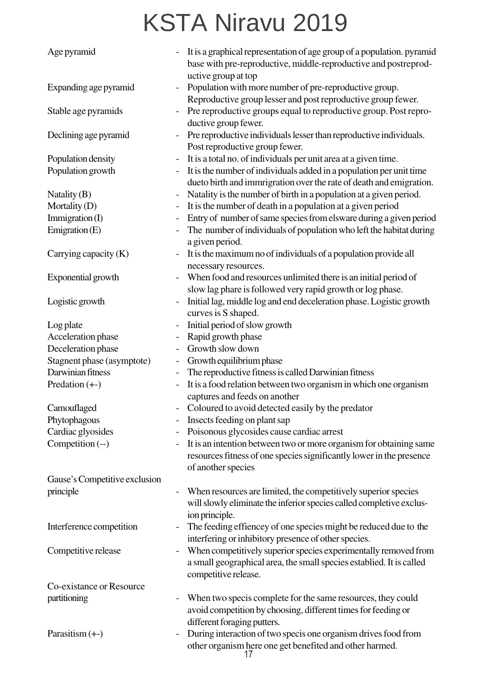| Age pyramid                   |                          | It is a graphical representation of age group of a population. pyramid<br>base with pre-reproductive, middle-reproductive and postreprod-     |
|-------------------------------|--------------------------|-----------------------------------------------------------------------------------------------------------------------------------------------|
| Expanding age pyramid         |                          | uctive group at top<br>Population with more number of pre-reproductive group.<br>Reproductive group lesser and post reproductive group fewer. |
| Stable age pyramids           |                          | Pre reproductive groups equal to reproductive group. Post repro-<br>ductive group fewer.                                                      |
| Declining age pyramid         | $\overline{\phantom{a}}$ | Pre reproductive individuals lesser than reproductive individuals.<br>Post reproductive group fewer.                                          |
| Population density            | $\blacksquare$           | It is a total no. of individuals per unit area at a given time.                                                                               |
| Population growth             |                          | It is the number of individuals added in a population per unit time                                                                           |
|                               |                          | dueto birth and immrigration over the rate of death and emigration.                                                                           |
| Natality (B)                  |                          | Natality is the number of birth in a population at a given period.                                                                            |
| Mortality (D)                 |                          | It is the number of death in a population at a given period                                                                                   |
| Immigration (I)               | $\blacksquare$           | Entry of number of same species from elsware during a given period                                                                            |
| Emigration $(E)$              |                          | The number of individuals of population who left the habitat during<br>a given period.                                                        |
| Carrying capacity $(K)$       |                          | It is the maximum no of individuals of a population provide all<br>necessary resources.                                                       |
| Exponential growth            |                          | When food and resources unlimited there is an initial period of                                                                               |
|                               |                          | slow lag phare is followed very rapid growth or log phase.                                                                                    |
| Logistic growth               |                          | Initial lag, middle log and end deceleration phase. Logistic growth                                                                           |
|                               |                          | curves is S shaped.                                                                                                                           |
| Log plate                     | $\overline{\phantom{a}}$ | Initial period of slow growth                                                                                                                 |
| Acceleration phase            | $\blacksquare$           | Rapid growth phase                                                                                                                            |
| Deceleration phase            |                          | Growth slow down                                                                                                                              |
| Stagnent phase (asymptote)    | $\overline{\phantom{a}}$ | Growth equilibrium phase                                                                                                                      |
| Darwinian fitness             |                          | The reproductive fitness is called Darwinian fitness                                                                                          |
| Predation $(+)$               | $\equiv$                 | It is a food relation between two organism in which one organism                                                                              |
|                               |                          | captures and feeds on another                                                                                                                 |
| Camouflaged                   |                          | Coloured to avoid detected easily by the predator                                                                                             |
| Phytophagous                  |                          | Insects feeding on plant sap                                                                                                                  |
| Cardiac glyosides             |                          | Poisonous glycosides cause cardiac arrest                                                                                                     |
| Competition (--)              |                          | It is an intention between two or more organism for obtaining same                                                                            |
|                               |                          | resources fitness of one species significantly lower in the presence<br>of another species                                                    |
| Gause's Competitive exclusion |                          |                                                                                                                                               |
| principle                     |                          | When resources are limited, the competitively superior species                                                                                |
|                               |                          | will slowly eliminate the inferior species called completive exclus-                                                                          |
|                               |                          | ion principle.                                                                                                                                |
| Interference competition      |                          | The feeding effiencey of one species might be reduced due to the                                                                              |
|                               |                          | interfering or inhibitory presence of other species.                                                                                          |
| Competitive release           |                          | When competitively superior species experimentally removed from                                                                               |
|                               |                          | a small geographical area, the small species establied. It is called<br>competitive release.                                                  |
| Co-existance or Resource      |                          |                                                                                                                                               |
| partitioning                  |                          | When two specis complete for the same resources, they could                                                                                   |
|                               |                          | avoid competition by choosing, different times for feeding or                                                                                 |
|                               |                          | different foraging putters.                                                                                                                   |
| Parasitism $(+)$              |                          | During interaction of two specis one organism drives food from                                                                                |
|                               |                          | other organism here one get benefited and other harmed.                                                                                       |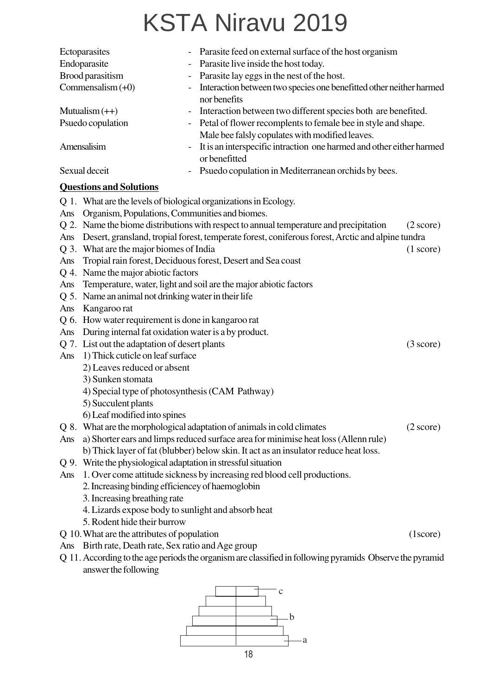|                                         | Ectoparasites                                                                       |                          | Parasite feed on external surface of the host organism                                           |                     |  |
|-----------------------------------------|-------------------------------------------------------------------------------------|--------------------------|--------------------------------------------------------------------------------------------------|---------------------|--|
| Endoparasite                            |                                                                                     |                          | Parasite live inside the host today.                                                             |                     |  |
|                                         | Brood parasitism                                                                    | -                        | Parasite lay eggs in the nest of the host.                                                       |                     |  |
|                                         | Commensalism $(+0)$                                                                 | $\overline{\phantom{a}}$ | Interaction between two species one benefitted other neither harmed<br>nor benefits              |                     |  |
|                                         | Mutualism $(++)$                                                                    |                          | Interaction between two different species both are benefited.                                    |                     |  |
|                                         | Psuedo copulation                                                                   |                          | Petal of flower recomplents to female bee in style and shape.                                    |                     |  |
|                                         |                                                                                     |                          | Male bee falsly copulates with modified leaves.                                                  |                     |  |
|                                         | Amensalisim                                                                         |                          | It is an interspecific intraction one harmed and other either harmed                             |                     |  |
|                                         |                                                                                     |                          | or benefitted                                                                                    |                     |  |
|                                         | Sexual deceit                                                                       |                          | Psuedo copulation in Mediterranean orchids by bees.                                              |                     |  |
|                                         | <b>Questions and Solutions</b>                                                      |                          |                                                                                                  |                     |  |
|                                         | Q 1. What are the levels of biological organizations in Ecology.                    |                          |                                                                                                  |                     |  |
| Ans                                     | Organism, Populations, Communities and biomes.                                      |                          |                                                                                                  |                     |  |
|                                         |                                                                                     |                          | Q 2. Name the biome distributions with respect to annual temperature and precipitation           | $(2 \text{ score})$ |  |
| Ans                                     |                                                                                     |                          | Desert, gransland, tropial forest, temperate forest, coniferous forest, Arctic and alpine tundra |                     |  |
|                                         | Q 3. What are the major biomes of India<br>(1 score)                                |                          |                                                                                                  |                     |  |
| Ans                                     | Tropial rain forest, Deciduous forest, Desert and Sea coast                         |                          |                                                                                                  |                     |  |
|                                         | Q 4. Name the major abiotic factors                                                 |                          |                                                                                                  |                     |  |
| Ans                                     | Temperature, water, light and soil are the major abiotic factors                    |                          |                                                                                                  |                     |  |
|                                         | Q 5. Name an animal not drinking water in their life                                |                          |                                                                                                  |                     |  |
| Ans                                     | Kangaroo rat                                                                        |                          |                                                                                                  |                     |  |
| Q 6.                                    | How water requirement is done in kangaroo rat                                       |                          |                                                                                                  |                     |  |
| Ans                                     | During internal fat oxidation water is a by product.                                |                          |                                                                                                  |                     |  |
|                                         | Q 7. List out the adaptation of desert plants<br>$(3 \text{ score})$                |                          |                                                                                                  |                     |  |
| 1) Thick cuticle on leaf surface<br>Ans |                                                                                     |                          |                                                                                                  |                     |  |
|                                         | 2) Leaves reduced or absent                                                         |                          |                                                                                                  |                     |  |
|                                         | 3) Sunken stomata                                                                   |                          |                                                                                                  |                     |  |
|                                         | 4) Special type of photosynthesis (CAM Pathway)                                     |                          |                                                                                                  |                     |  |
|                                         | 5) Succulent plants                                                                 |                          |                                                                                                  |                     |  |
|                                         | 6) Leaf modified into spines                                                        |                          |                                                                                                  |                     |  |
|                                         |                                                                                     |                          | Q 8. What are the morphological adaptation of animals in cold climates                           | $(2 \text{ score})$ |  |
| Ans                                     | a) Shorter ears and limps reduced surface area for minimise heat loss (Allenn rule) |                          |                                                                                                  |                     |  |
|                                         |                                                                                     |                          | b) Thick layer of fat (blubber) below skin. It act as an insulator reduce heat loss.             |                     |  |
|                                         | Q 9. Write the physiological adaptation in stressful situation                      |                          |                                                                                                  |                     |  |

- Ans 1. Over come attitude sickness by increasing red blood cell productions.
	- 2. Increasing binding efficiencey of haemoglobin
	- 3. Increasing breathing rate
	- 4. Lizards expose body to sunlight and absorb heat
	- 5. Rodent hide their burrow
- Q 10.What are the attributes of population (1score)
- Ans Birth rate, Death rate, Sex ratio and Age group
- Q 11.According to the age periods the organism are classified in following pyramids Observe the pyramid answer the following

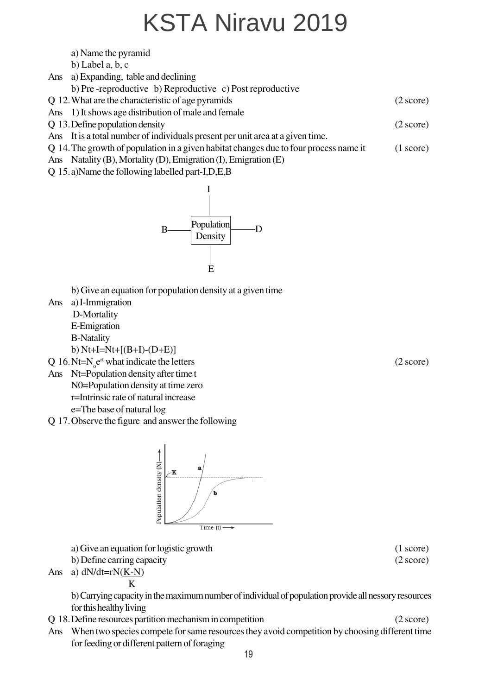|     | b) Label $a, b, c$                                                                                                                                                                                          |                     |
|-----|-------------------------------------------------------------------------------------------------------------------------------------------------------------------------------------------------------------|---------------------|
|     | Ans a) Expanding, table and declining                                                                                                                                                                       |                     |
|     | b) Pre-reproductive b) Reproductive c) Post reproductive                                                                                                                                                    |                     |
|     | Q 12. What are the characteristic of age pyramids                                                                                                                                                           | $(2 \text{ score})$ |
|     | Ans 1) It shows age distribution of male and female                                                                                                                                                         |                     |
|     | Q 13. Define population density                                                                                                                                                                             | $(2 \text{ score})$ |
|     | Ans It is a total number of individuals present per unit area at a given time.                                                                                                                              |                     |
|     | Q 14. The growth of population in a given habitat changes due to four process name it<br>Ans Natality (B), Mortality (D), Emigration (I), Emigration (E)<br>Q 15.a)Name the following labelled part-I,D,E,B | $(1 \text{ score})$ |
|     | Population<br>Density<br>B<br>E                                                                                                                                                                             |                     |
| Ans | b) Give an equation for population density at a given time<br>a) I-Immigration<br>$\mathbf{D}$ Mortolity                                                                                                    |                     |

 D-Mortality E-Emigration B-Natality

a) Name the pyramid

b) Nt+I=Nt+[(B+I)-(D+E)]

 $Q$  16. Nt=N<sub>o</sub>  $e^{rt}$  what indicate the letters (2 score)

- Ans Nt=Population density after time t N0=Population density at time zero r=Intrinsic rate of natural increase e=The base of natural log
- Q 17.Observe the figure and answer the following



a) Give an equation for logistic growth (1 score)

b) Define carring capacity (2 score)

Ans a)  $dN/dt=rN(K-N)$ 

K

b) Carrying capacity in the maximum number of individual of population provide all nessory resources for this healthy living

- Q 18.Define resources partition mechanism in competition (2 score)
- Ans When two species compete for same resources they avoid competition by choosing different time for feeding or different pattern of foraging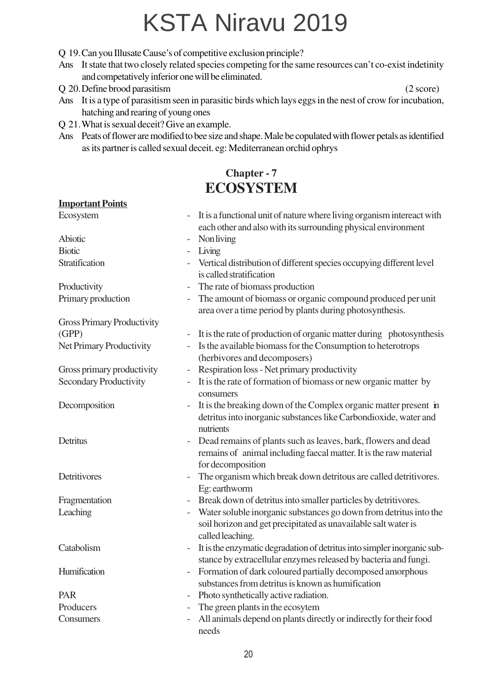- Q 19.Can you Illusate Cause's of competitive exclusion principle?
- Ans It state that two closely related species competing for the same resources can't co-exist indetinity and competatively inferior one will be eliminated.
- Q 20.Define brood parasitism (2 score)
- Ans It is a type of parasitism seen in parasitic birds which lays eggs in the nest of crow for incubation, hatching and rearing of young ones
- Q 21.What is sexual deceit? Give an example.
- Ans Peats of flower are modified to bee size and shape. Male be copulated with flower petals as identified as its partner is called sexual deceit. eg: Mediterranean orchid ophrys

#### **Chapter - 7 ECOSYSTEM**

#### **Important Points**

| Ecosystem                                 |                          | - It is a functional unit of nature where living organism intereact with<br>each other and also with its surrounding physical environment               |  |
|-------------------------------------------|--------------------------|---------------------------------------------------------------------------------------------------------------------------------------------------------|--|
| <b>Abiotic</b>                            |                          | <b>Non living</b>                                                                                                                                       |  |
| <b>Biotic</b><br>$\overline{\phantom{a}}$ |                          | Living                                                                                                                                                  |  |
| Stratification                            |                          | Vertical distribution of different species occupying different level<br>is called stratification                                                        |  |
| Productivity                              |                          | The rate of biomass production                                                                                                                          |  |
| Primary production                        | $\overline{\phantom{a}}$ | The amount of biomass or organic compound produced per unit<br>area over a time period by plants during photosynthesis.                                 |  |
| <b>Gross Primary Productivity</b>         |                          |                                                                                                                                                         |  |
| (GPP)                                     |                          | It is the rate of production of organic matter during photosynthesis                                                                                    |  |
| Net Primary Productivity                  |                          | Is the available biomass for the Consumption to heterotrops<br>(herbivores and decomposers)                                                             |  |
| Gross primary productivity                |                          | Respiration loss - Net primary productivity                                                                                                             |  |
| <b>Secondary Productivity</b>             |                          | It is the rate of formation of biomass or new organic matter by<br>consumers                                                                            |  |
| Decomposition                             | $\overline{\phantom{a}}$ | It is the breaking down of the Complex organic matter present in<br>detritus into inorganic substances like Carbondioxide, water and<br>nutrients       |  |
| Detritus                                  |                          | Dead remains of plants such as leaves, bark, flowers and dead<br>remains of animal including faecal matter. It is the raw material<br>for decomposition |  |
| Detritivores                              |                          | The organism which break down detritous are called detritivores.<br>Eg: earthworm                                                                       |  |
| Fragmentation                             |                          | Break down of detritus into smaller particles by detritivores.                                                                                          |  |
| Leaching                                  |                          | Water soluble inorganic substances go down from detritus into the<br>soil horizon and get precipitated as unavailable salt water is<br>called leaching. |  |
| Catabolism                                | $\overline{\phantom{0}}$ | It is the enzymatic degradation of detritus into simpler inorganic sub-<br>stance by extracellular enzymes released by bacteria and fungi.              |  |
| Humification                              |                          | Formation of dark coloured partially decomposed amorphous<br>substances from detritus is known as humification                                          |  |
| PAR                                       |                          | Photo synthetically active radiation.                                                                                                                   |  |
| Producers                                 | $\overline{\phantom{a}}$ | The green plants in the ecosytem                                                                                                                        |  |
| Consumers                                 |                          | All animals depend on plants directly or indirectly for their food<br>needs                                                                             |  |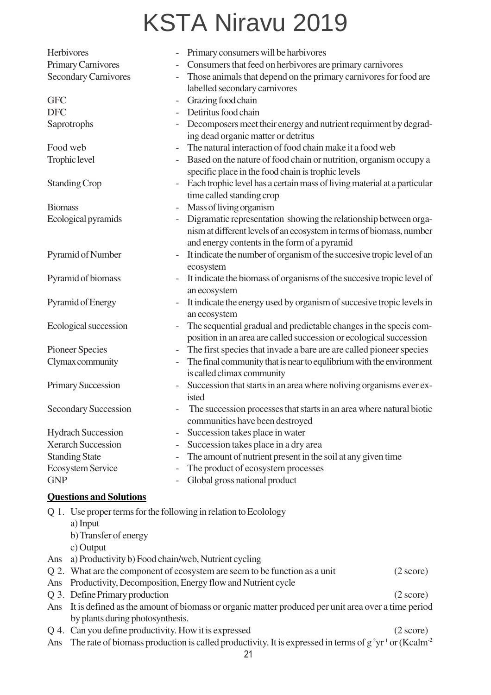| Herbivores                  |                                |                          | Primary consumers will be harbivores                                                              |  |
|-----------------------------|--------------------------------|--------------------------|---------------------------------------------------------------------------------------------------|--|
| Primary Carnivores          |                                |                          | Consumers that feed on herbivores are primary carnivores                                          |  |
| <b>Secondary Carnivores</b> |                                |                          | Those animals that depend on the primary carnivores for food are<br>labelled secondary carnivores |  |
| <b>GFC</b>                  |                                |                          | Grazing food chain                                                                                |  |
| <b>DFC</b>                  |                                |                          | Detiritus food chain                                                                              |  |
|                             | Saprotrophs                    |                          | Decomposers meet their energy and nutrient requirment by degrad-                                  |  |
|                             |                                |                          | ing dead organic matter or detritus                                                               |  |
| Food web                    |                                | $\overline{\phantom{0}}$ | The natural interaction of food chain make it a food web                                          |  |
|                             | Trophic level                  |                          | Based on the nature of food chain or nutrition, organism occupy a                                 |  |
|                             |                                |                          | specific place in the food chain is trophic levels                                                |  |
|                             | <b>Standing Crop</b>           |                          | Each trophic level has a certain mass of living material at a particular                          |  |
|                             |                                |                          | time called standing crop                                                                         |  |
| <b>Biomass</b>              |                                | $\overline{\phantom{0}}$ | Mass of living organism                                                                           |  |
|                             | Ecological pyramids            |                          | Digramatic representation showing the relationship between orga-                                  |  |
|                             |                                |                          | nism at different levels of an ecosystem in terms of biomass, number                              |  |
|                             |                                |                          | and energy contents in the form of a pyramid                                                      |  |
|                             | Pyramid of Number              |                          | It indicate the number of organism of the succesive tropic level of an                            |  |
|                             |                                |                          | ecosystem                                                                                         |  |
|                             | Pyramid of biomass             | $\overline{\phantom{0}}$ | It indicate the biomass of organisms of the succesive tropic level of                             |  |
|                             |                                |                          | an ecosystem                                                                                      |  |
| Pyramid of Energy           |                                |                          | It indicate the energy used by organism of succesive tropic levels in                             |  |
|                             |                                |                          | an ecosystem                                                                                      |  |
| Ecological succession       |                                | $\overline{\phantom{0}}$ | The sequential gradual and predictable changes in the specis com-                                 |  |
|                             |                                |                          | position in an area are called succession or ecological succession                                |  |
|                             | <b>Pioneer Species</b>         | $\overline{\phantom{0}}$ | The first species that invade a bare are are called pioneer species                               |  |
|                             | Clymax community               |                          | The final community that is near to equlibrium with the environment                               |  |
|                             |                                |                          | is called climax community                                                                        |  |
|                             | <b>Primary Succession</b>      | $\overline{\phantom{0}}$ | Succession that starts in an area where noliving organisms ever ex-                               |  |
|                             |                                |                          | isted                                                                                             |  |
|                             | Secondary Succession           |                          | The succession processes that starts in an area where natural biotic                              |  |
|                             |                                |                          | communities have been destroyed                                                                   |  |
|                             | <b>Hydrach Succession</b>      |                          | Succession takes place in water                                                                   |  |
|                             | <b>Xerarch Succession</b>      | -                        | Succession takes place in a dry area                                                              |  |
| <b>Standing State</b>       |                                |                          | The amount of nutrient present in the soil at any given time                                      |  |
| Ecosystem Service           |                                |                          | The product of ecosystem processes                                                                |  |
| <b>GNP</b>                  |                                |                          | Global gross national product                                                                     |  |
|                             | <b>Questions and Solutions</b> |                          |                                                                                                   |  |
|                             |                                |                          | Q 1. Use proper terms for the following in relation to Ecolology                                  |  |
|                             | a) Input                       |                          |                                                                                                   |  |
|                             | b) Transfer of energy          |                          |                                                                                                   |  |
|                             |                                |                          |                                                                                                   |  |

- c) Output
- Ans a) Productivity b) Food chain/web, Nutrient cycling

|  | Q 2. What are the component of ecosystem are seem to be function as a unit | $(2 \text{ score})$ |
|--|----------------------------------------------------------------------------|---------------------|
|--|----------------------------------------------------------------------------|---------------------|

- Ans Productivity, Decomposition, Energy flow and Nutrient cycle
- Q 3. Define Primary production (2 score)
- Ans It is defined as the amount of biomass or organic matter produced per unit area over a time period by plants during photosynthesis.
- Q 4. Can you define productivity. How it is expressed (2 score)
- Ans The rate of biomass production is called productivity. It is expressed in terms of  $g^2yr^1$  or (Kcalm<sup>-2</sup>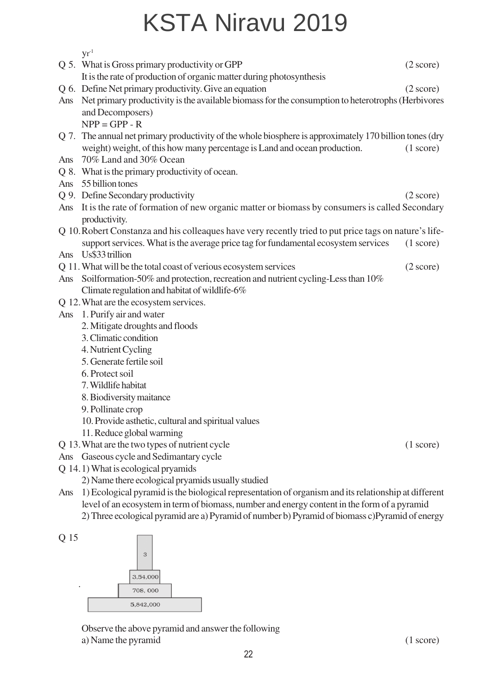|                                                                                                             | $\rm{yr}^{\text{-}1}$                                                                                                                                                                           |                     |  |  |
|-------------------------------------------------------------------------------------------------------------|-------------------------------------------------------------------------------------------------------------------------------------------------------------------------------------------------|---------------------|--|--|
|                                                                                                             | Q 5. What is Gross primary productivity or GPP                                                                                                                                                  | $(2 \text{ score})$ |  |  |
|                                                                                                             | It is the rate of production of organic matter during photosynthesis                                                                                                                            |                     |  |  |
|                                                                                                             | Q 6. Define Net primary productivity. Give an equation                                                                                                                                          | $(2 \text{ score})$ |  |  |
| Ans                                                                                                         | Net primary productivity is the available biomass for the consumption to heterotrophs (Herbivores                                                                                               |                     |  |  |
|                                                                                                             | and Decomposers)                                                                                                                                                                                |                     |  |  |
|                                                                                                             | $NPP = GPP - R$                                                                                                                                                                                 |                     |  |  |
|                                                                                                             | Q 7. The annual net primary productivity of the whole biosphere is approximately 170 billion tones (dry                                                                                         |                     |  |  |
|                                                                                                             | weight) weight, of this how many percentage is Land and ocean production.                                                                                                                       | (1 score)           |  |  |
| Ans                                                                                                         | 70% Land and 30% Ocean                                                                                                                                                                          |                     |  |  |
|                                                                                                             | Q 8. What is the primary productivity of ocean.                                                                                                                                                 |                     |  |  |
| Ans                                                                                                         | 55 billion tones                                                                                                                                                                                |                     |  |  |
|                                                                                                             | Q 9. Define Secondary productivity                                                                                                                                                              | $(2 \text{ score})$ |  |  |
| Ans                                                                                                         | It is the rate of formation of new organic matter or biomass by consumers is called Secondary                                                                                                   |                     |  |  |
|                                                                                                             | productivity.                                                                                                                                                                                   |                     |  |  |
|                                                                                                             | Q 10. Robert Constanza and his colleagues have very recently tried to put price tags on nature's life-                                                                                          |                     |  |  |
|                                                                                                             | support services. What is the average price tag for fundamental ecosystem services                                                                                                              | (1 score)           |  |  |
| Ans                                                                                                         | Us\$33 trillion                                                                                                                                                                                 |                     |  |  |
|                                                                                                             | Q 11. What will be the total coast of verious ecosystem services                                                                                                                                | $(2 \text{ score})$ |  |  |
| Ans                                                                                                         | Soilformation-50% and protection, recreation and nutrient cycling-Less than 10%                                                                                                                 |                     |  |  |
|                                                                                                             | Climate regulation and habitat of wildlife-6%                                                                                                                                                   |                     |  |  |
|                                                                                                             | Q 12. What are the ecosystem services.                                                                                                                                                          |                     |  |  |
| Ans                                                                                                         | 1. Purify air and water                                                                                                                                                                         |                     |  |  |
|                                                                                                             | 2. Mitigate droughts and floods                                                                                                                                                                 |                     |  |  |
|                                                                                                             | 3. Climatic condition                                                                                                                                                                           |                     |  |  |
|                                                                                                             | 4. Nutrient Cycling                                                                                                                                                                             |                     |  |  |
|                                                                                                             | 5. Generate fertile soil                                                                                                                                                                        |                     |  |  |
|                                                                                                             | 6. Protect soil                                                                                                                                                                                 |                     |  |  |
|                                                                                                             | 7. Wildlife habitat                                                                                                                                                                             |                     |  |  |
|                                                                                                             | 8. Biodiversity maitance                                                                                                                                                                        |                     |  |  |
|                                                                                                             | 9. Pollinate crop                                                                                                                                                                               |                     |  |  |
|                                                                                                             | 10. Provide asthetic, cultural and spiritual values                                                                                                                                             |                     |  |  |
|                                                                                                             | 11. Reduce global warming                                                                                                                                                                       |                     |  |  |
|                                                                                                             | Q 13. What are the two types of nutrient cycle                                                                                                                                                  | (1 score)           |  |  |
| Ans                                                                                                         | Gaseous cycle and Sedimantary cycle                                                                                                                                                             |                     |  |  |
|                                                                                                             | Q 14.1) What is ecological pryamids<br>2) Name there ecological pryamids usually studied                                                                                                        |                     |  |  |
|                                                                                                             |                                                                                                                                                                                                 |                     |  |  |
| 1) Ecological pyramid is the biological representation of organism and its relationship at different<br>Ans |                                                                                                                                                                                                 |                     |  |  |
|                                                                                                             | level of an ecosystem in term of biomass, number and energy content in the form of a pyramid<br>2) Three ecological pyramid are a) Pyramid of number b) Pyramid of biomass c) Pyramid of energy |                     |  |  |
|                                                                                                             |                                                                                                                                                                                                 |                     |  |  |
|                                                                                                             |                                                                                                                                                                                                 |                     |  |  |





Observe the above pyramid and answer the following a) Name the pyramid (1 score)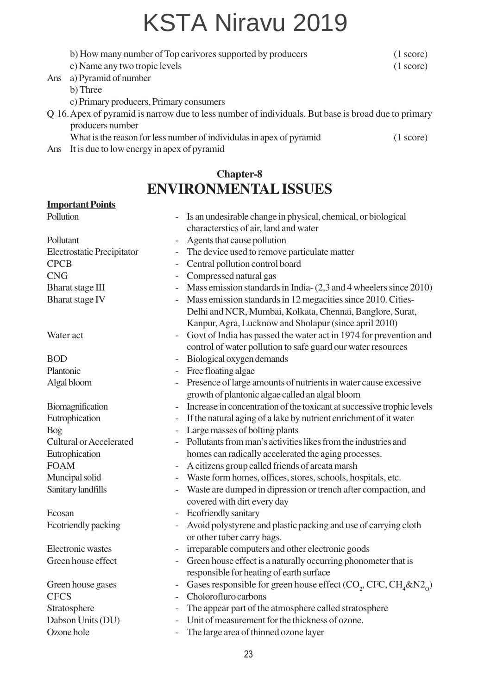|     | b) How many number of Top carivores supported by producers                                                              | $(1 \text{ score})$ |
|-----|-------------------------------------------------------------------------------------------------------------------------|---------------------|
|     | c) Name any two tropic levels                                                                                           | (1 score)           |
| Ans | a) Pyramid of number                                                                                                    |                     |
|     | b) Three                                                                                                                |                     |
|     | c) Primary producers, Primary consumers                                                                                 |                     |
|     | Q 16. Apex of pyramid is narrow due to less number of individuals. But base is broad due to primary<br>producers number |                     |
|     | What is the reason for less number of individulas in apex of pyramid                                                    | $(1 \text{ score})$ |
|     | Ans It is due to low energy in apex of pyramid                                                                          |                     |
|     |                                                                                                                         |                     |
|     |                                                                                                                         |                     |

#### **Chapter-8 ENVIRONMENTAL ISSUES**

#### **Important Points**

| Pollution                                  |                          | Is an undesirable change in physical, chemical, or biological                                       |  |
|--------------------------------------------|--------------------------|-----------------------------------------------------------------------------------------------------|--|
|                                            |                          | characterstics of air, land and water                                                               |  |
| Pollutant                                  | $\overline{\phantom{0}}$ | Agents that cause pollution                                                                         |  |
| Electrostatic Precipitator                 | -                        | The device used to remove particulate matter                                                        |  |
| <b>CPCB</b>                                | $\overline{\phantom{0}}$ | Central pollution control board                                                                     |  |
| <b>CNG</b>                                 | $\overline{\phantom{0}}$ | Compressed natural gas                                                                              |  |
| <b>Bharat</b> stage III                    | $\overline{\phantom{0}}$ | Mass emission standards in India- (2,3 and 4 wheelers since 2010)                                   |  |
| <b>Bharat</b> stage IV                     |                          | Mass emission standards in 12 megacities since 2010. Cities-                                        |  |
|                                            |                          | Delhi and NCR, Mumbai, Kolkata, Chennai, Banglore, Surat,                                           |  |
|                                            |                          | Kanpur, Agra, Lucknow and Sholapur (since april 2010)                                               |  |
| Water act                                  |                          | Govt of India has passed the water act in 1974 for prevention and                                   |  |
|                                            |                          | control of water pollution to safe guard our water resources                                        |  |
| <b>BOD</b>                                 |                          | Biological oxygen demands                                                                           |  |
| Plantonic                                  | $\overline{\phantom{0}}$ | Free floating algae                                                                                 |  |
| Algal bloom                                |                          | Presence of large amounts of nutrients in water cause excessive                                     |  |
|                                            |                          | growth of plantonic algae called an algal bloom                                                     |  |
| Biomagnification                           | $\overline{\phantom{0}}$ | Increase in concentration of the toxicant at successive trophic levels                              |  |
| Eutrophication<br>$\overline{\phantom{0}}$ |                          | If the natural aging of a lake by nutrient enrichment of it water                                   |  |
| <b>Bog</b>                                 |                          | Large masses of bolting plants                                                                      |  |
| <b>Cultural or Accelerated</b>             |                          | Pollutants from man's activities likes from the industries and                                      |  |
| Eutrophication                             |                          | homes can radically accelerated the aging processes.                                                |  |
| <b>FOAM</b>                                |                          | A citizens group called friends of arcata marsh                                                     |  |
| Muncipal solid                             |                          | Waste form homes, offices, stores, schools, hospitals, etc.                                         |  |
| Sanitary landfills                         |                          | Waste are dumped in dipression or trench after compaction, and                                      |  |
|                                            |                          | covered with dirt every day                                                                         |  |
| Ecosan                                     | $\overline{\phantom{0}}$ | Ecofriendly sanitary                                                                                |  |
| Ecotriendly packing                        |                          | Avoid polystyrene and plastic packing and use of carrying cloth                                     |  |
|                                            |                          | or other tuber carry bags.                                                                          |  |
| Electronic wastes                          | $\overline{\phantom{0}}$ | irreparable computers and other electronic goods                                                    |  |
| Green house effect                         |                          | Green house effect is a naturally occurring phonometer that is                                      |  |
|                                            |                          | responsible for heating of earth surface                                                            |  |
| Green house gases                          |                          | Gases responsible for green house effect (CO <sub>2</sub> , CFC, CH <sub>4</sub> &N2 <sub>0</sub> ) |  |
| <b>CFCS</b>                                |                          | Cholorofluro carbons                                                                                |  |
| Stratosphere                               | -                        | The appear part of the atmosphere called stratosphere                                               |  |
| Dabson Units (DU)                          |                          | Unit of measurement for the thickness of ozone.                                                     |  |
| Ozone hole                                 |                          | The large area of thinned ozone layer                                                               |  |